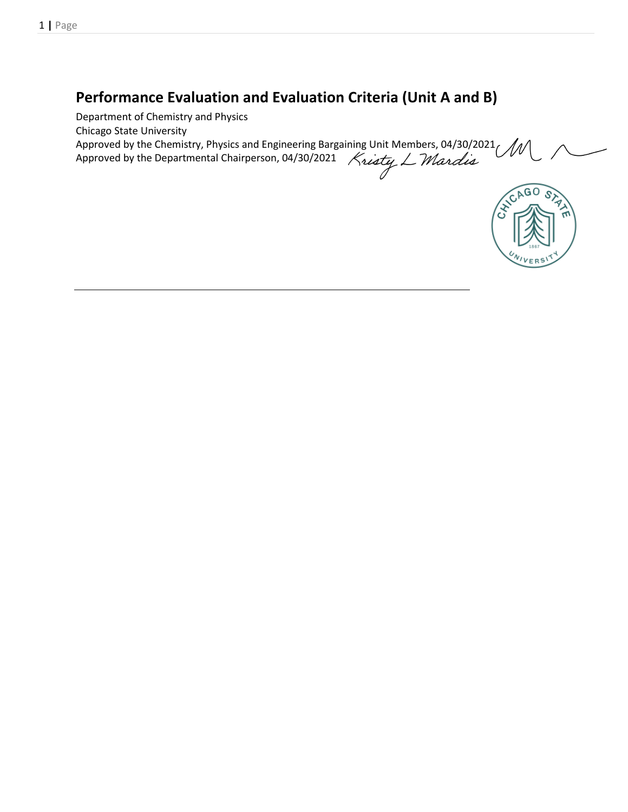# **Performance Evaluation and Evaluation Criteria (Unit A and B)**

Department of Chemistry and Physics Chicago State University Approved by the Chemistry, Physics and Engineering Bargaining Unit Members, 04/30/2021 Approved by the Departmental Chairperson, 04/30/2021 Kristy L Mardis

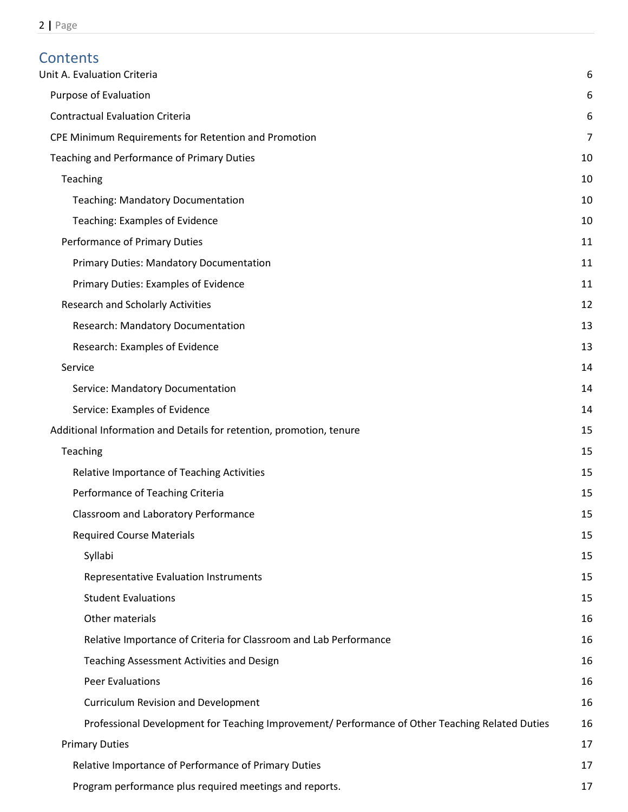# Contents<br>Unit A. Evalua

| Unit A. Evaluation Criteria                                                                     | 6  |
|-------------------------------------------------------------------------------------------------|----|
| Purpose of Evaluation                                                                           | 6  |
| <b>Contractual Evaluation Criteria</b>                                                          | 6  |
| CPE Minimum Requirements for Retention and Promotion                                            | 7  |
| Teaching and Performance of Primary Duties                                                      | 10 |
| Teaching                                                                                        | 10 |
| <b>Teaching: Mandatory Documentation</b>                                                        | 10 |
| Teaching: Examples of Evidence                                                                  | 10 |
| Performance of Primary Duties                                                                   | 11 |
| Primary Duties: Mandatory Documentation                                                         | 11 |
| Primary Duties: Examples of Evidence                                                            | 11 |
| <b>Research and Scholarly Activities</b>                                                        | 12 |
| Research: Mandatory Documentation                                                               | 13 |
| Research: Examples of Evidence                                                                  | 13 |
| Service                                                                                         | 14 |
| Service: Mandatory Documentation                                                                | 14 |
| Service: Examples of Evidence                                                                   | 14 |
| Additional Information and Details for retention, promotion, tenure                             | 15 |
| Teaching                                                                                        | 15 |
| Relative Importance of Teaching Activities                                                      | 15 |
| Performance of Teaching Criteria                                                                | 15 |
| Classroom and Laboratory Performance                                                            | 15 |
| <b>Required Course Materials</b>                                                                | 15 |
| Syllabi                                                                                         | 15 |
| Representative Evaluation Instruments                                                           | 15 |
| <b>Student Evaluations</b>                                                                      | 15 |
| Other materials                                                                                 | 16 |
| Relative Importance of Criteria for Classroom and Lab Performance                               | 16 |
| Teaching Assessment Activities and Design                                                       | 16 |
| <b>Peer Evaluations</b>                                                                         | 16 |
| <b>Curriculum Revision and Development</b>                                                      | 16 |
| Professional Development for Teaching Improvement/ Performance of Other Teaching Related Duties | 16 |
| <b>Primary Duties</b>                                                                           | 17 |
| Relative Importance of Performance of Primary Duties                                            | 17 |
| Program performance plus required meetings and reports.                                         | 17 |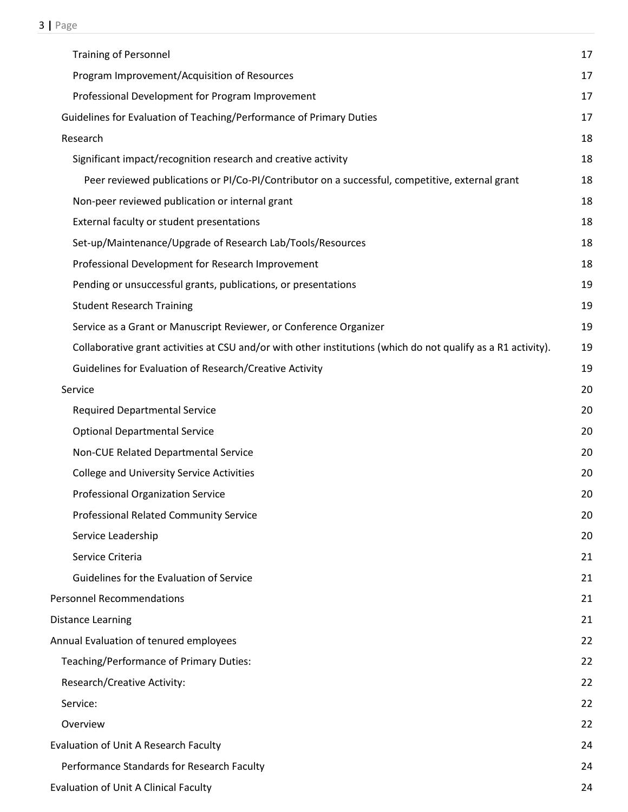| <b>Training of Personnel</b>                                                                                  | 17 |
|---------------------------------------------------------------------------------------------------------------|----|
| Program Improvement/Acquisition of Resources                                                                  | 17 |
| Professional Development for Program Improvement                                                              | 17 |
| Guidelines for Evaluation of Teaching/Performance of Primary Duties                                           | 17 |
| Research                                                                                                      | 18 |
| Significant impact/recognition research and creative activity                                                 | 18 |
| Peer reviewed publications or PI/Co-PI/Contributor on a successful, competitive, external grant               | 18 |
| Non-peer reviewed publication or internal grant                                                               | 18 |
| External faculty or student presentations                                                                     | 18 |
| Set-up/Maintenance/Upgrade of Research Lab/Tools/Resources                                                    | 18 |
| Professional Development for Research Improvement                                                             | 18 |
| Pending or unsuccessful grants, publications, or presentations                                                | 19 |
| <b>Student Research Training</b>                                                                              | 19 |
| Service as a Grant or Manuscript Reviewer, or Conference Organizer                                            | 19 |
| Collaborative grant activities at CSU and/or with other institutions (which do not qualify as a R1 activity). | 19 |
| Guidelines for Evaluation of Research/Creative Activity                                                       | 19 |
| Service                                                                                                       | 20 |
| <b>Required Departmental Service</b>                                                                          | 20 |
| <b>Optional Departmental Service</b>                                                                          | 20 |
| Non-CUE Related Departmental Service                                                                          | 20 |
| <b>College and University Service Activities</b>                                                              | 20 |
| <b>Professional Organization Service</b>                                                                      | 20 |
| Professional Related Community Service                                                                        | 20 |
| Service Leadership                                                                                            | 20 |
| Service Criteria                                                                                              | 21 |
| Guidelines for the Evaluation of Service                                                                      | 21 |
| <b>Personnel Recommendations</b>                                                                              | 21 |
| Distance Learning                                                                                             | 21 |
| Annual Evaluation of tenured employees                                                                        | 22 |
| Teaching/Performance of Primary Duties:                                                                       | 22 |
| Research/Creative Activity:                                                                                   | 22 |
| Service:                                                                                                      | 22 |
| Overview                                                                                                      | 22 |
| Evaluation of Unit A Research Faculty                                                                         | 24 |
| Performance Standards for Research Faculty                                                                    | 24 |
| Evaluation of Unit A Clinical Faculty                                                                         | 24 |
|                                                                                                               |    |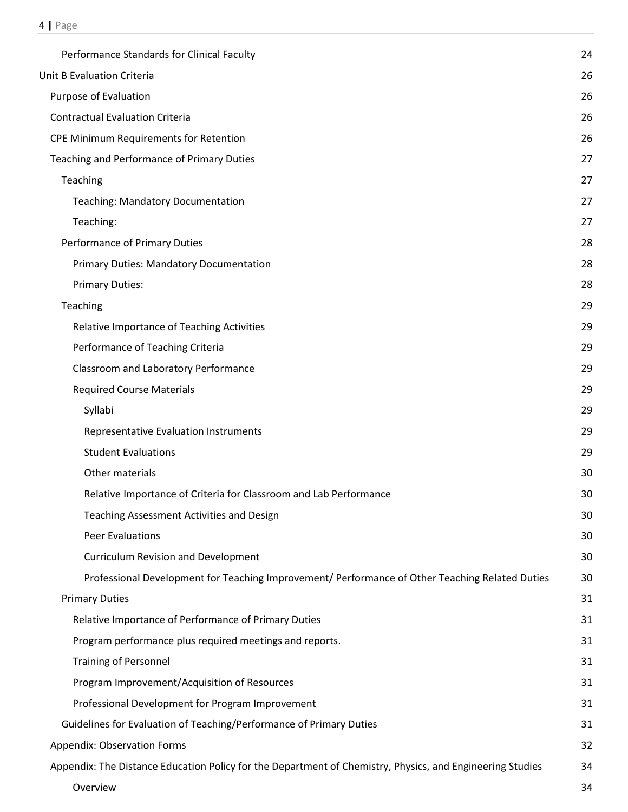| Performance Standards for Clinical Faculty                                                                | 24 |
|-----------------------------------------------------------------------------------------------------------|----|
| Unit B Evaluation Criteria                                                                                | 26 |
| Purpose of Evaluation                                                                                     | 26 |
| <b>Contractual Evaluation Criteria</b>                                                                    | 26 |
| CPE Minimum Requirements for Retention                                                                    | 26 |
| Teaching and Performance of Primary Duties                                                                | 27 |
| Teaching                                                                                                  | 27 |
| <b>Teaching: Mandatory Documentation</b>                                                                  | 27 |
| Teaching:                                                                                                 | 27 |
| Performance of Primary Duties                                                                             | 28 |
| <b>Primary Duties: Mandatory Documentation</b>                                                            | 28 |
| <b>Primary Duties:</b>                                                                                    | 28 |
| Teaching                                                                                                  | 29 |
| Relative Importance of Teaching Activities                                                                | 29 |
| Performance of Teaching Criteria                                                                          | 29 |
| Classroom and Laboratory Performance                                                                      | 29 |
| <b>Required Course Materials</b>                                                                          | 29 |
| Syllabi                                                                                                   | 29 |
| Representative Evaluation Instruments                                                                     | 29 |
| <b>Student Evaluations</b>                                                                                | 29 |
| Other materials                                                                                           | 30 |
| Relative Importance of Criteria for Classroom and Lab Performance                                         | 30 |
| Teaching Assessment Activities and Design                                                                 | 30 |
| <b>Peer Evaluations</b>                                                                                   | 30 |
| <b>Curriculum Revision and Development</b>                                                                | 30 |
| Professional Development for Teaching Improvement/ Performance of Other Teaching Related Duties           | 30 |
| <b>Primary Duties</b>                                                                                     | 31 |
| Relative Importance of Performance of Primary Duties                                                      | 31 |
| Program performance plus required meetings and reports.                                                   | 31 |
| <b>Training of Personnel</b>                                                                              | 31 |
| Program Improvement/Acquisition of Resources                                                              | 31 |
| Professional Development for Program Improvement                                                          | 31 |
| Guidelines for Evaluation of Teaching/Performance of Primary Duties                                       | 31 |
| <b>Appendix: Observation Forms</b>                                                                        | 32 |
| Appendix: The Distance Education Policy for the Department of Chemistry, Physics, and Engineering Studies | 34 |
| Overview                                                                                                  | 34 |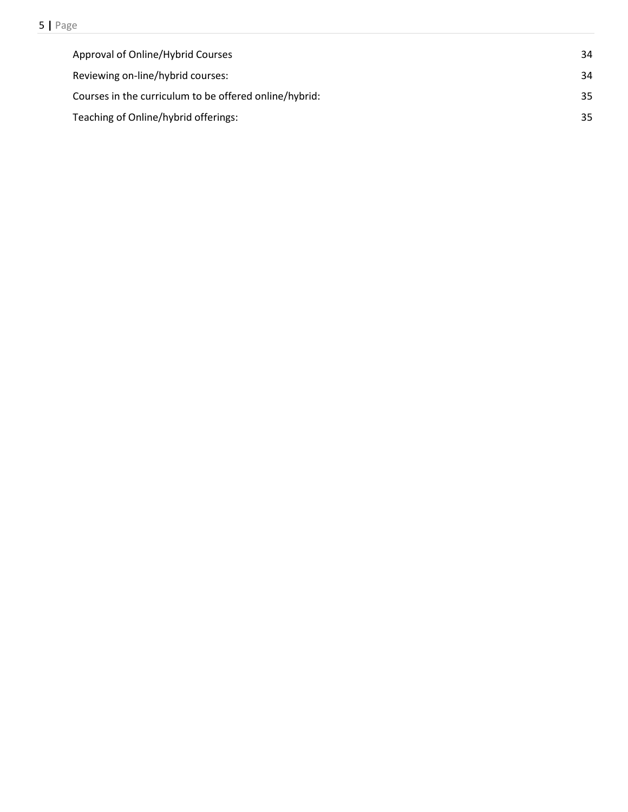| Approval of Online/Hybrid Courses                      | 34 |
|--------------------------------------------------------|----|
| Reviewing on-line/hybrid courses:                      | 34 |
| Courses in the curriculum to be offered online/hybrid: | 35 |
| Teaching of Online/hybrid offerings:                   | 35 |
|                                                        |    |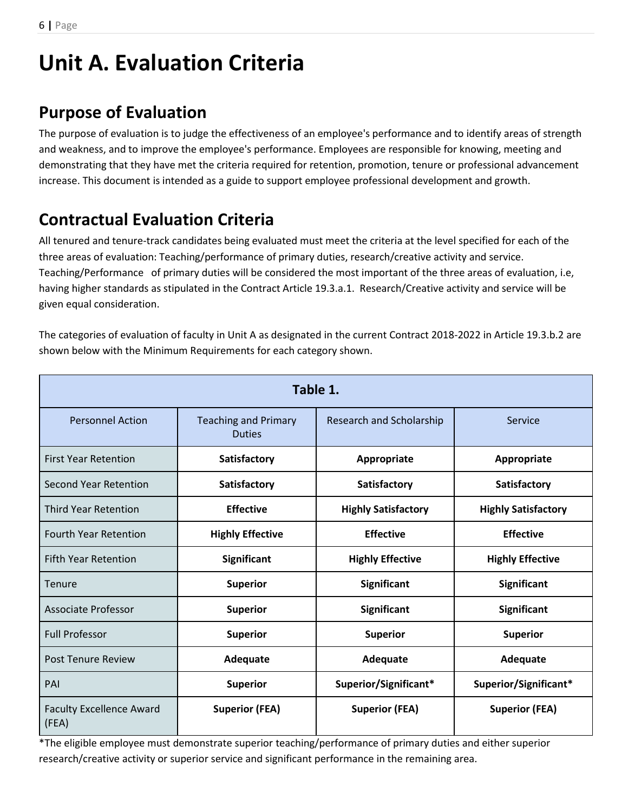# <span id="page-5-0"></span>**Unit A. Evaluation Criteria**

# <span id="page-5-1"></span>**Purpose of Evaluation**

The purpose of evaluation is to judge the effectiveness of an employee's performance and to identify areas of strength and weakness, and to improve the employee's performance. Employees are responsible for knowing, meeting and demonstrating that they have met the criteria required for retention, promotion, tenure or professional advancement increase. This document is intended as a guide to support employee professional development and growth.

# <span id="page-5-2"></span>**Contractual Evaluation Criteria**

All tenured and tenure-track candidates being evaluated must meet the criteria at the level specified for each of the three areas of evaluation: Teaching/performance of primary duties, research/creative activity and service. Teaching/Performance of primary duties will be considered the most important of the three areas of evaluation, i.e, having higher standards as stipulated in the Contract Article 19.3.a.1. Research/Creative activity and service will be given equal consideration.

The categories of evaluation of faculty in Unit A as designated in the current Contract 2018-2022 in Article 19.3.b.2 are shown below with the Minimum Requirements for each category shown.

| Table 1.                                 |                                              |                            |                            |
|------------------------------------------|----------------------------------------------|----------------------------|----------------------------|
| <b>Personnel Action</b>                  | <b>Teaching and Primary</b><br><b>Duties</b> | Research and Scholarship   | Service                    |
| <b>First Year Retention</b>              | Satisfactory                                 | Appropriate                | Appropriate                |
| <b>Second Year Retention</b>             | Satisfactory                                 | <b>Satisfactory</b>        | <b>Satisfactory</b>        |
| <b>Third Year Retention</b>              | <b>Effective</b>                             | <b>Highly Satisfactory</b> | <b>Highly Satisfactory</b> |
| <b>Fourth Year Retention</b>             | <b>Highly Effective</b>                      | <b>Effective</b>           | <b>Effective</b>           |
| <b>Fifth Year Retention</b>              | <b>Significant</b>                           | <b>Highly Effective</b>    | <b>Highly Effective</b>    |
| Tenure                                   | <b>Superior</b>                              | <b>Significant</b>         | <b>Significant</b>         |
| <b>Associate Professor</b>               | <b>Superior</b>                              | <b>Significant</b>         | <b>Significant</b>         |
| <b>Full Professor</b>                    | <b>Superior</b>                              | <b>Superior</b>            | <b>Superior</b>            |
| <b>Post Tenure Review</b>                | Adequate                                     | Adequate                   | Adequate                   |
| PAI                                      | <b>Superior</b>                              | Superior/Significant*      | Superior/Significant*      |
| <b>Faculty Excellence Award</b><br>(FEA) | <b>Superior (FEA)</b>                        | <b>Superior (FEA)</b>      | <b>Superior (FEA)</b>      |

\*The eligible employee must demonstrate superior teaching/performance of primary duties and either superior research/creative activity or superior service and significant performance in the remaining area.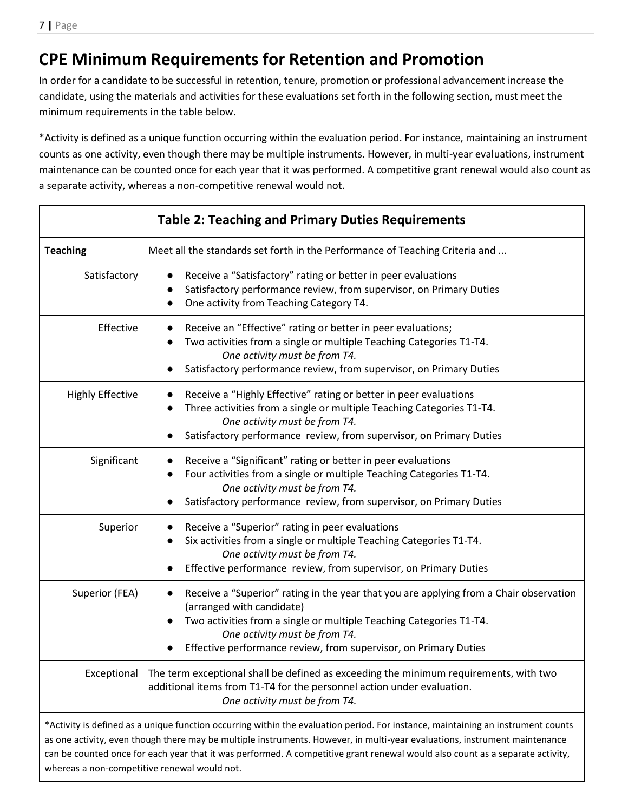# <span id="page-6-0"></span>**CPE Minimum Requirements for Retention and Promotion**

In order for a candidate to be successful in retention, tenure, promotion or professional advancement increase the candidate, using the materials and activities for these evaluations set forth in the following section, must meet the minimum requirements in the table below.

\*Activity is defined as a unique function occurring within the evaluation period. For instance, maintaining an instrument counts as one activity, even though there may be multiple instruments. However, in multi-year evaluations, instrument maintenance can be counted once for each year that it was performed. A competitive grant renewal would also count as a separate activity, whereas a non-competitive renewal would not.

| <b>Table 2: Teaching and Primary Duties Requirements</b> |                                                                                                                                                                                                                                                                                                                                                                                                 |  |  |
|----------------------------------------------------------|-------------------------------------------------------------------------------------------------------------------------------------------------------------------------------------------------------------------------------------------------------------------------------------------------------------------------------------------------------------------------------------------------|--|--|
| <b>Teaching</b>                                          | Meet all the standards set forth in the Performance of Teaching Criteria and                                                                                                                                                                                                                                                                                                                    |  |  |
| Satisfactory                                             | Receive a "Satisfactory" rating or better in peer evaluations<br>Satisfactory performance review, from supervisor, on Primary Duties<br>One activity from Teaching Category T4.                                                                                                                                                                                                                 |  |  |
| Effective                                                | Receive an "Effective" rating or better in peer evaluations;<br>Two activities from a single or multiple Teaching Categories T1-T4.<br>One activity must be from T4.<br>Satisfactory performance review, from supervisor, on Primary Duties                                                                                                                                                     |  |  |
| <b>Highly Effective</b>                                  | Receive a "Highly Effective" rating or better in peer evaluations<br>Three activities from a single or multiple Teaching Categories T1-T4.<br>One activity must be from T4.<br>Satisfactory performance review, from supervisor, on Primary Duties                                                                                                                                              |  |  |
| Significant                                              | Receive a "Significant" rating or better in peer evaluations<br>Four activities from a single or multiple Teaching Categories T1-T4.<br>One activity must be from T4.<br>Satisfactory performance review, from supervisor, on Primary Duties                                                                                                                                                    |  |  |
| Superior                                                 | Receive a "Superior" rating in peer evaluations<br>Six activities from a single or multiple Teaching Categories T1-T4.<br>One activity must be from T4.<br>Effective performance review, from supervisor, on Primary Duties                                                                                                                                                                     |  |  |
| Superior (FEA)                                           | Receive a "Superior" rating in the year that you are applying from a Chair observation<br>(arranged with candidate)<br>Two activities from a single or multiple Teaching Categories T1-T4.<br>One activity must be from T4.<br>Effective performance review, from supervisor, on Primary Duties                                                                                                 |  |  |
| Exceptional                                              | The term exceptional shall be defined as exceeding the minimum requirements, with two<br>additional items from T1-T4 for the personnel action under evaluation.<br>One activity must be from T4.                                                                                                                                                                                                |  |  |
| whereas a non-competitive renewal would not.             | *Activity is defined as a unique function occurring within the evaluation period. For instance, maintaining an instrument counts<br>as one activity, even though there may be multiple instruments. However, in multi-year evaluations, instrument maintenance<br>can be counted once for each year that it was performed. A competitive grant renewal would also count as a separate activity, |  |  |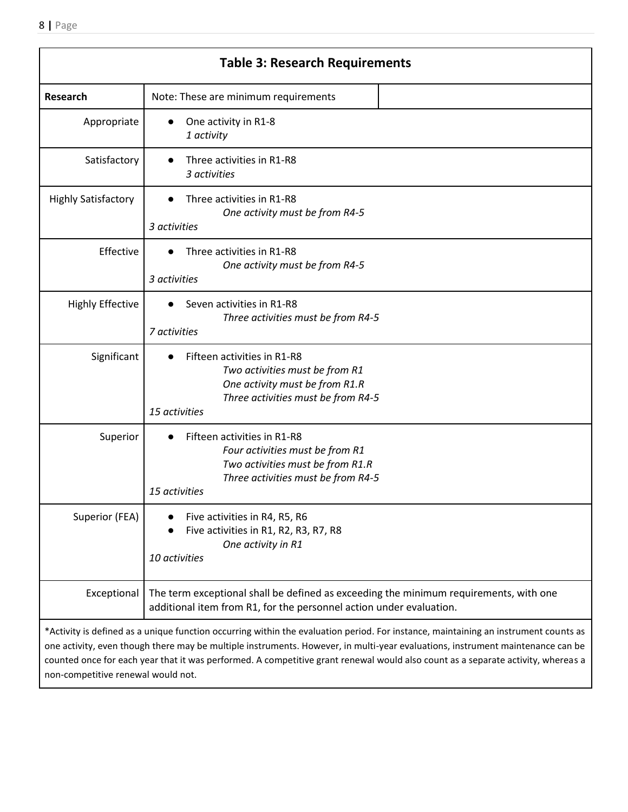|                            | <b>Table 3: Research Requirements</b>                                                                                                                                                                                                                                                                                                                                                                     |
|----------------------------|-----------------------------------------------------------------------------------------------------------------------------------------------------------------------------------------------------------------------------------------------------------------------------------------------------------------------------------------------------------------------------------------------------------|
| Research                   | Note: These are minimum requirements                                                                                                                                                                                                                                                                                                                                                                      |
| Appropriate                | One activity in R1-8<br>1 activity                                                                                                                                                                                                                                                                                                                                                                        |
| Satisfactory               | Three activities in R1-R8<br>3 activities                                                                                                                                                                                                                                                                                                                                                                 |
| <b>Highly Satisfactory</b> | Three activities in R1-R8<br>One activity must be from R4-5<br>3 activities                                                                                                                                                                                                                                                                                                                               |
| Effective                  | Three activities in R1-R8<br>One activity must be from R4-5<br>3 activities                                                                                                                                                                                                                                                                                                                               |
| <b>Highly Effective</b>    | Seven activities in R1-R8<br>Three activities must be from R4-5<br>7 activities                                                                                                                                                                                                                                                                                                                           |
| Significant                | Fifteen activities in R1-R8<br>Two activities must be from R1<br>One activity must be from R1.R<br>Three activities must be from R4-5<br>15 activities                                                                                                                                                                                                                                                    |
| Superior                   | Fifteen activities in R1-R8<br>Four activities must be from R1<br>Two activities must be from R1.R<br>Three activities must be from R4-5<br>15 activities                                                                                                                                                                                                                                                 |
| Superior (FEA)             | Five activities in R4, R5, R6<br>Five activities in R1, R2, R3, R7, R8<br>One activity in R1<br>10 activities                                                                                                                                                                                                                                                                                             |
| Exceptional                | The term exceptional shall be defined as exceeding the minimum requirements, with one<br>additional item from R1, for the personnel action under evaluation.                                                                                                                                                                                                                                              |
|                            | *Activity is defined as a unique function occurring within the evaluation period. For instance, maintaining an instrument counts as<br>one activity, even though there may be multiple instruments. However, in multi-year evaluations, instrument maintenance can be<br>counted once for each year that it was performed. A competitive grant renewal would also count as a separate activity, whereas a |

non-competitive renewal would not.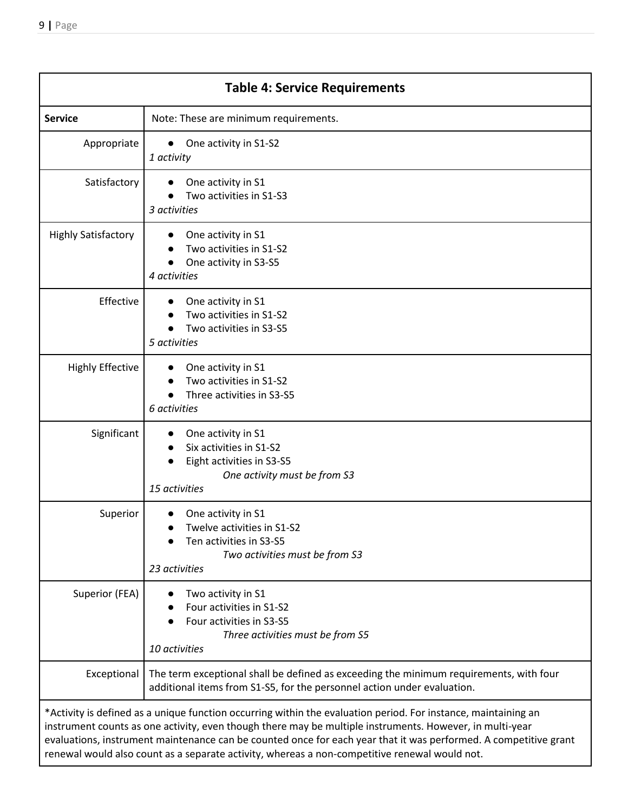| <b>Table 4: Service Requirements</b>                                                                                                                                                                                                                                                                                                                                                                                                            |                                                                                                                                                                   |  |
|-------------------------------------------------------------------------------------------------------------------------------------------------------------------------------------------------------------------------------------------------------------------------------------------------------------------------------------------------------------------------------------------------------------------------------------------------|-------------------------------------------------------------------------------------------------------------------------------------------------------------------|--|
| <b>Service</b>                                                                                                                                                                                                                                                                                                                                                                                                                                  | Note: These are minimum requirements.                                                                                                                             |  |
| Appropriate                                                                                                                                                                                                                                                                                                                                                                                                                                     | One activity in S1-S2<br>$\bullet$<br>1 activity                                                                                                                  |  |
| Satisfactory                                                                                                                                                                                                                                                                                                                                                                                                                                    | One activity in S1<br>Two activities in S1-S3<br>3 activities                                                                                                     |  |
| <b>Highly Satisfactory</b>                                                                                                                                                                                                                                                                                                                                                                                                                      | One activity in S1<br>Two activities in S1-S2<br>One activity in S3-S5<br>4 activities                                                                            |  |
| Effective                                                                                                                                                                                                                                                                                                                                                                                                                                       | One activity in S1<br>Two activities in S1-S2<br>Two activities in S3-S5<br>5 activities                                                                          |  |
| <b>Highly Effective</b>                                                                                                                                                                                                                                                                                                                                                                                                                         | One activity in S1<br>Two activities in S1-S2<br>Three activities in S3-S5<br>6 activities                                                                        |  |
| Significant                                                                                                                                                                                                                                                                                                                                                                                                                                     | One activity in S1<br>Six activities in S1-S2<br>Eight activities in S3-S5<br>One activity must be from S3<br>15 activities                                       |  |
| Superior                                                                                                                                                                                                                                                                                                                                                                                                                                        | One activity in S1<br>Twelve activities in S1-S2<br>Ten activities in S3-S5<br>Two activities must be from S3<br>23 activities                                    |  |
| Superior (FEA)                                                                                                                                                                                                                                                                                                                                                                                                                                  | Two activity in S1<br>Four activities in S1-S2<br>Four activities in S3-S5<br>Three activities must be from S5<br>10 activities                                   |  |
| Exceptional                                                                                                                                                                                                                                                                                                                                                                                                                                     | The term exceptional shall be defined as exceeding the minimum requirements, with four<br>additional items from S1-S5, for the personnel action under evaluation. |  |
| *Activity is defined as a unique function occurring within the evaluation period. For instance, maintaining an<br>instrument counts as one activity, even though there may be multiple instruments. However, in multi-year<br>evaluations, instrument maintenance can be counted once for each year that it was performed. A competitive grant<br>renewal would also count as a separate activity, whereas a non-competitive renewal would not. |                                                                                                                                                                   |  |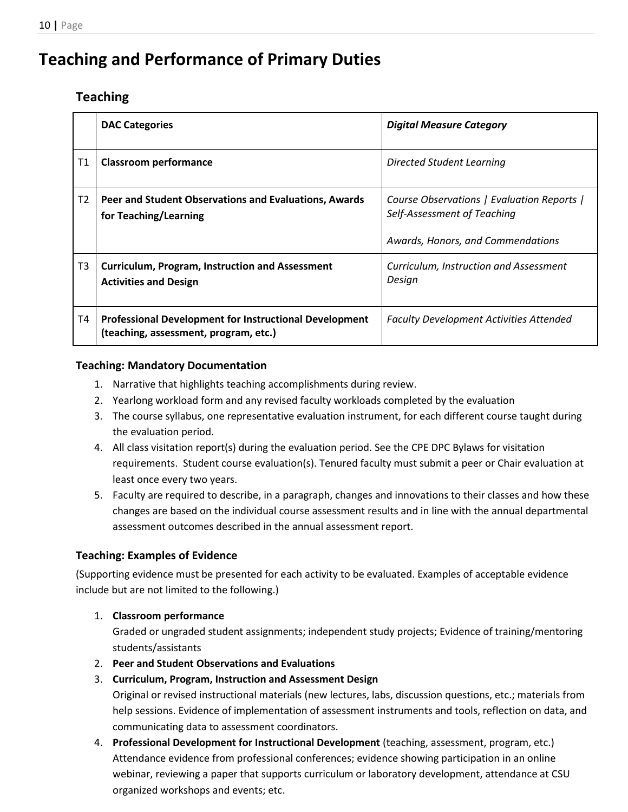# <span id="page-9-1"></span><span id="page-9-0"></span>**Teaching and Performance of Primary Duties**

# **Teaching**

|                | <b>DAC Categories</b>                                                                                  | <b>Digital Measure Category</b>                                                                                |
|----------------|--------------------------------------------------------------------------------------------------------|----------------------------------------------------------------------------------------------------------------|
| Τ1             | <b>Classroom performance</b>                                                                           | Directed Student Learning                                                                                      |
| T <sub>2</sub> | Peer and Student Observations and Evaluations, Awards<br>for Teaching/Learning                         | Course Observations   Evaluation Reports  <br>Self-Assessment of Teaching<br>Awards, Honors, and Commendations |
| T <sub>3</sub> | <b>Curriculum, Program, Instruction and Assessment</b><br><b>Activities and Design</b>                 | Curriculum, Instruction and Assessment<br>Desian                                                               |
| Τ4             | <b>Professional Development for Instructional Development</b><br>(teaching, assessment, program, etc.) | <b>Faculty Development Activities Attended</b>                                                                 |

# <span id="page-9-2"></span>**Teaching: Mandatory Documentation**

- 1. Narrative that highlights teaching accomplishments during review.
- 2. Yearlong workload form and any revised faculty workloads completed by the evaluation
- 3. The course syllabus, one representative evaluation instrument, for each different course taught during the evaluation period.
- 4. All class visitation report(s) during the evaluation period. See the CPE DPC Bylaws for visitation requirements. Student course evaluation(s). Tenured faculty must submit a peer or Chair evaluation at least once every two years.
- 5. Faculty are required to describe, in a paragraph, changes and innovations to their classes and how these changes are based on the individual course assessment results and in line with the annual departmental assessment outcomes described in the annual assessment report.

# <span id="page-9-3"></span>**Teaching: Examples of Evidence**

(Supporting evidence must be presented for each activity to be evaluated. Examples of acceptable evidence include but are not limited to the following.)

# 1. **Classroom performance**

Graded or ungraded student assignments; independent study projects; Evidence of training/mentoring students/assistants

2. **Peer and Student Observations and Evaluations**

# 3. **Curriculum, Program, Instruction and Assessment Design**

Original or revised instructional materials (new lectures, labs, discussion questions, etc.; materials from help sessions. Evidence of implementation of assessment instruments and tools, reflection on data, and communicating data to assessment coordinators.

4. **Professional Development for Instructional Development** (teaching, assessment, program, etc.) Attendance evidence from professional conferences; evidence showing participation in an online webinar, reviewing a paper that supports curriculum or laboratory development, attendance at CSU organized workshops and events; etc.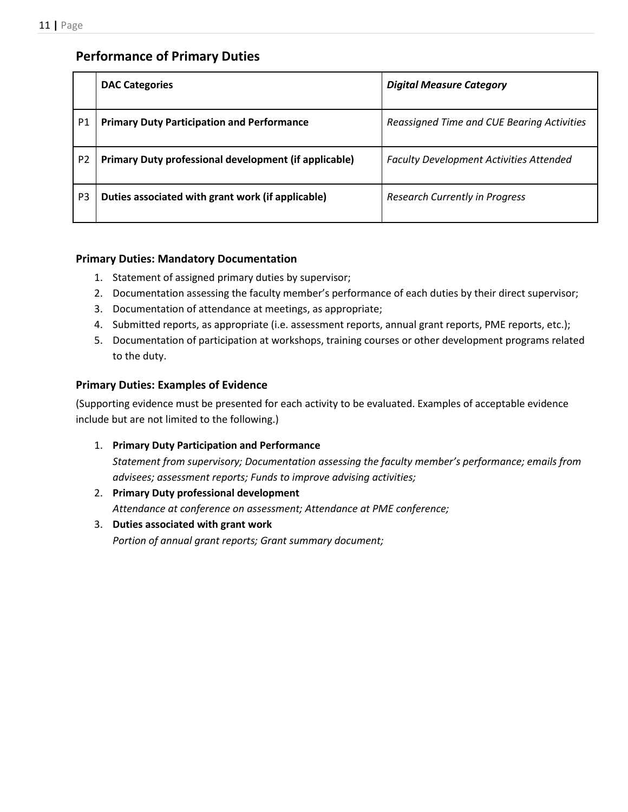# <span id="page-10-0"></span>**Performance of Primary Duties**

|                | <b>DAC Categories</b>                                 | <b>Digital Measure Category</b>                |
|----------------|-------------------------------------------------------|------------------------------------------------|
| P1             | <b>Primary Duty Participation and Performance</b>     | Reassigned Time and CUE Bearing Activities     |
| P <sub>2</sub> | Primary Duty professional development (if applicable) | <b>Faculty Development Activities Attended</b> |
| P <sub>3</sub> | Duties associated with grant work (if applicable)     | <b>Research Currently in Progress</b>          |

### <span id="page-10-1"></span>**Primary Duties: Mandatory Documentation**

- 1. Statement of assigned primary duties by supervisor;
- 2. Documentation assessing the faculty member's performance of each duties by their direct supervisor;
- 3. Documentation of attendance at meetings, as appropriate;
- 4. Submitted reports, as appropriate (i.e. assessment reports, annual grant reports, PME reports, etc.);
- 5. Documentation of participation at workshops, training courses or other development programs related to the duty.

### <span id="page-10-2"></span>**Primary Duties: Examples of Evidence**

(Supporting evidence must be presented for each activity to be evaluated. Examples of acceptable evidence include but are not limited to the following.)

- 1. **Primary Duty Participation and Performance** *Statement from supervisory; Documentation assessing the faculty member's performance; emails from advisees; assessment reports; Funds to improve advising activities;*
- 2. **Primary Duty professional development** *Attendance at conference on assessment; Attendance at PME conference;*
- 3. **Duties associated with grant work**  *Portion of annual grant reports; Grant summary document;*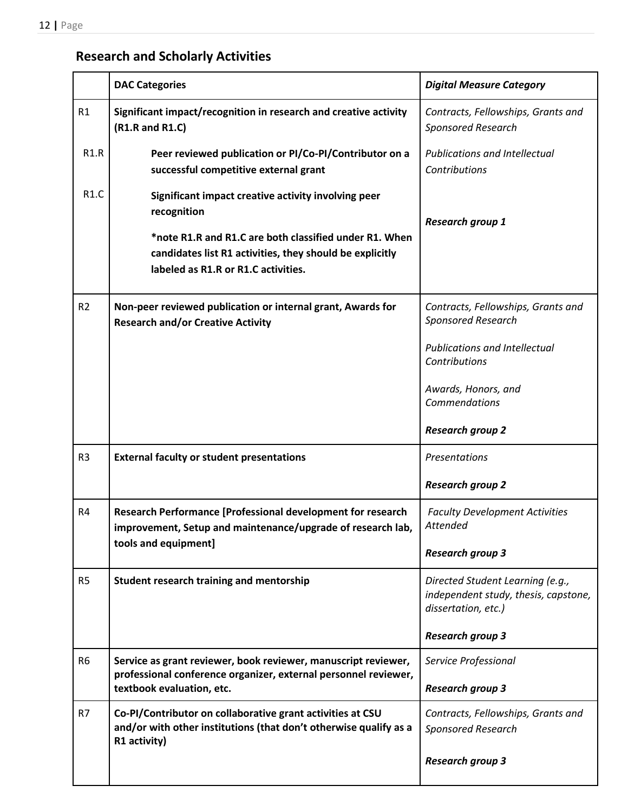# <span id="page-11-0"></span>**Research and Scholarly Activities**

|                | <b>DAC Categories</b>                                                                                                                                     | <b>Digital Measure Category</b>                                                                 |
|----------------|-----------------------------------------------------------------------------------------------------------------------------------------------------------|-------------------------------------------------------------------------------------------------|
| R1             | Significant impact/recognition in research and creative activity<br>(R1.R and R1.C)                                                                       | Contracts, Fellowships, Grants and<br><b>Sponsored Research</b>                                 |
| R1.R           | Peer reviewed publication or PI/Co-PI/Contributor on a<br>successful competitive external grant                                                           | <b>Publications and Intellectual</b><br>Contributions                                           |
| R1.C           | Significant impact creative activity involving peer<br>recognition                                                                                        | <b>Research group 1</b>                                                                         |
|                | *note R1.R and R1.C are both classified under R1. When<br>candidates list R1 activities, they should be explicitly<br>labeled as R1.R or R1.C activities. |                                                                                                 |
| R <sub>2</sub> | Non-peer reviewed publication or internal grant, Awards for<br><b>Research and/or Creative Activity</b>                                                   | Contracts, Fellowships, Grants and<br>Sponsored Research                                        |
|                |                                                                                                                                                           | <b>Publications and Intellectual</b><br>Contributions                                           |
|                |                                                                                                                                                           | Awards, Honors, and<br>Commendations                                                            |
|                |                                                                                                                                                           | <b>Research group 2</b>                                                                         |
| R <sub>3</sub> | <b>External faculty or student presentations</b>                                                                                                          | Presentations                                                                                   |
|                |                                                                                                                                                           | <b>Research group 2</b>                                                                         |
| R4             | Research Performance [Professional development for research<br>improvement, Setup and maintenance/upgrade of research lab,                                | <b>Faculty Development Activities</b><br>Attended                                               |
|                | tools and equipment]                                                                                                                                      | <b>Research group 3</b>                                                                         |
| R <sub>5</sub> | Student research training and mentorship                                                                                                                  | Directed Student Learning (e.g.,<br>independent study, thesis, capstone,<br>dissertation, etc.) |
|                |                                                                                                                                                           | <b>Research group 3</b>                                                                         |
| R <sub>6</sub> | Service as grant reviewer, book reviewer, manuscript reviewer,<br>professional conference organizer, external personnel reviewer,                         | Service Professional                                                                            |
|                | textbook evaluation, etc.                                                                                                                                 | <b>Research group 3</b>                                                                         |
| R7             | Co-PI/Contributor on collaborative grant activities at CSU<br>and/or with other institutions (that don't otherwise qualify as a<br>R1 activity)           | Contracts, Fellowships, Grants and<br><b>Sponsored Research</b>                                 |
|                |                                                                                                                                                           | <b>Research group 3</b>                                                                         |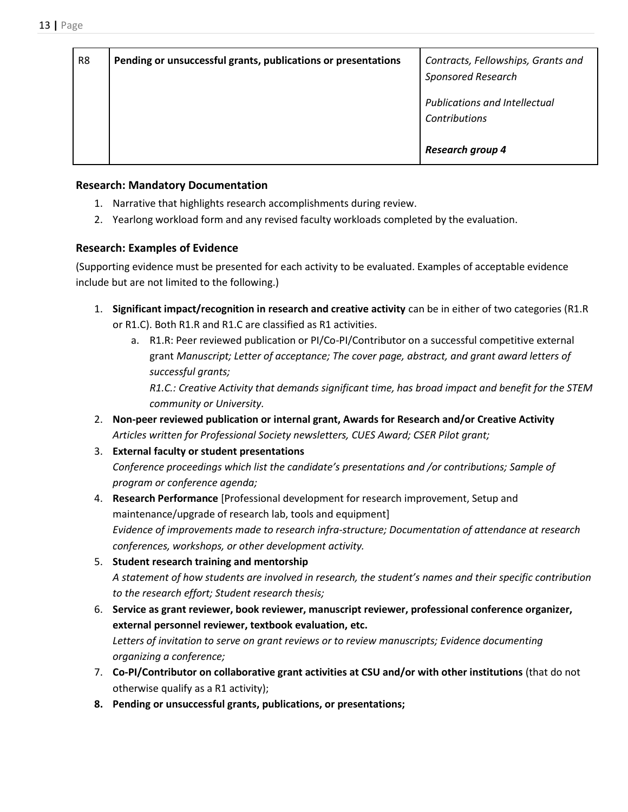| R <sub>8</sub> | Pending or unsuccessful grants, publications or presentations | Contracts, Fellowships, Grants and<br><b>Sponsored Research</b> |
|----------------|---------------------------------------------------------------|-----------------------------------------------------------------|
|                |                                                               | <b>Publications and Intellectual</b><br>Contributions           |
|                |                                                               | <b>Research group 4</b>                                         |

### <span id="page-12-0"></span>**Research: Mandatory Documentation**

- 1. Narrative that highlights research accomplishments during review.
- 2. Yearlong workload form and any revised faculty workloads completed by the evaluation.

# <span id="page-12-1"></span>**Research: Examples of Evidence**

(Supporting evidence must be presented for each activity to be evaluated. Examples of acceptable evidence include but are not limited to the following.)

- 1. **Significant impact/recognition in research and creative activity** can be in either of two categories (R1.R or R1.C). Both R1.R and R1.C are classified as R1 activities.
	- a. R1.R: Peer reviewed publication or PI/Co-PI/Contributor on a successful competitive external grant *Manuscript; Letter of acceptance; The cover page, abstract, and grant award letters of successful grants;*

*R1.C.: Creative Activity that demands significant time, has broad impact and benefit for the STEM community or University.*

- 2. **Non-peer reviewed publication or internal grant, Awards for Research and/or Creative Activity** *Articles written for Professional Society newsletters, CUES Award; CSER Pilot grant;*
- 3. **External faculty or student presentations** *Conference proceedings which list the candidate's presentations and /or contributions; Sample of program or conference agenda;*
- 4. **Research Performance** [Professional development for research improvement, Setup and maintenance/upgrade of research lab, tools and equipment] *Evidence of improvements made to research infra-structure; Documentation of attendance at research conferences, workshops, or other development activity.*
- 5. **Student research training and mentorship** *A statement of how students are involved in research, the student's names and their specific contribution to the research effort; Student research thesis;*
- 6. **Service as grant reviewer, book reviewer, manuscript reviewer, professional conference organizer, external personnel reviewer, textbook evaluation, etc.**  *Letters of invitation to serve on grant reviews or to review manuscripts; Evidence documenting organizing a conference;*
- 7. **Co-PI/Contributor on collaborative grant activities at CSU and/or with other institutions** (that do not otherwise qualify as a R1 activity);
- **8. Pending or unsuccessful grants, publications, or presentations;**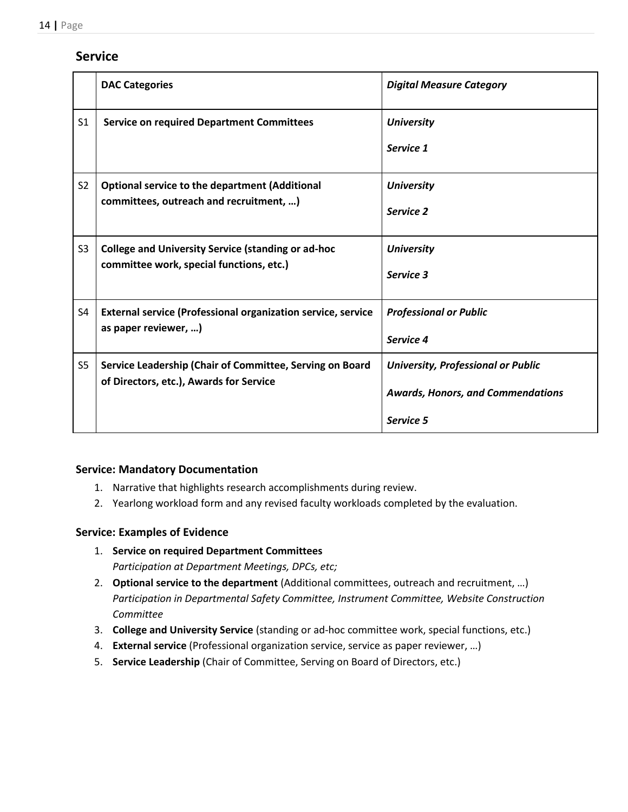# <span id="page-13-0"></span>**Service**

|                | <b>DAC Categories</b>                                                                                 | <b>Digital Measure Category</b>                                                                    |
|----------------|-------------------------------------------------------------------------------------------------------|----------------------------------------------------------------------------------------------------|
| S <sub>1</sub> | <b>Service on required Department Committees</b>                                                      | <b>University</b><br>Service 1                                                                     |
| S <sub>2</sub> | <b>Optional service to the department (Additional</b><br>committees, outreach and recruitment, )      | <b>University</b><br>Service 2                                                                     |
| S <sub>3</sub> | <b>College and University Service (standing or ad-hoc</b><br>committee work, special functions, etc.) | <b>University</b><br>Service 3                                                                     |
| S4             | <b>External service (Professional organization service, service</b><br>as paper reviewer, )           | <b>Professional or Public</b><br>Service 4                                                         |
| S <sub>5</sub> | Service Leadership (Chair of Committee, Serving on Board<br>of Directors, etc.), Awards for Service   | <b>University, Professional or Public</b><br><b>Awards, Honors, and Commendations</b><br>Service 5 |

### <span id="page-13-1"></span>**Service: Mandatory Documentation**

- 1. Narrative that highlights research accomplishments during review.
- 2. Yearlong workload form and any revised faculty workloads completed by the evaluation.

# <span id="page-13-2"></span>**Service: Examples of Evidence**

- 1. **Service on required Department Committees** *Participation at Department Meetings, DPCs, etc;*
- 2. **Optional service to the department** (Additional committees, outreach and recruitment, …) *Participation in Departmental Safety Committee, Instrument Committee, Website Construction Committee*
- 3. **College and University Service** (standing or ad-hoc committee work, special functions, etc.)
- 4. **External service** (Professional organization service, service as paper reviewer, …)
- 5. **Service Leadership** (Chair of Committee, Serving on Board of Directors, etc.)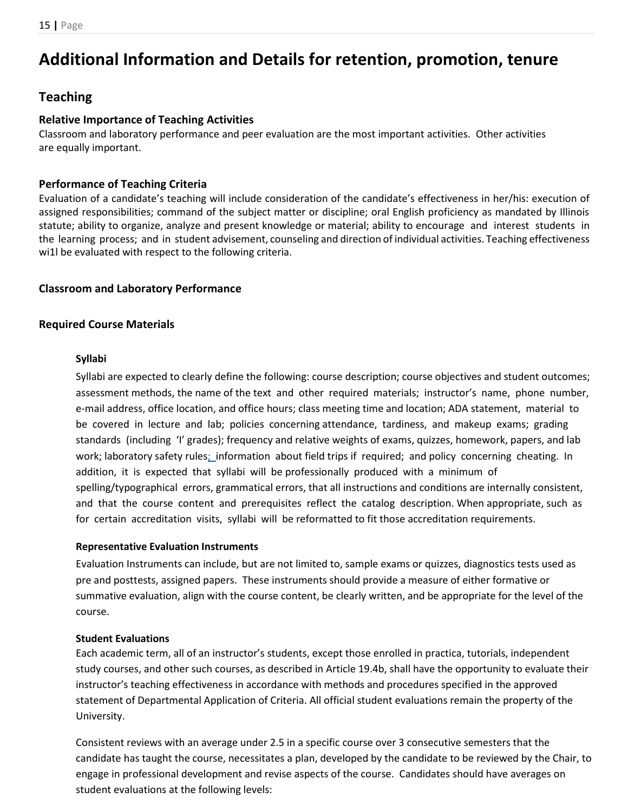# <span id="page-14-0"></span>**Additional Information and Details for retention, promotion, tenure**

# <span id="page-14-1"></span>**Teaching**

### <span id="page-14-2"></span>**Relative Importance of Teaching Activities**

Classroom and laboratory performance and peer evaluation are the most important activities. Other activities are equally important.

# <span id="page-14-3"></span>**Performance of Teaching Criteria**

Evaluation of a candidate's teaching will include consideration of the candidate's effectiveness in her/his: execution of assigned responsibilities; command of the subject matter or discipline; oral English proficiency as mandated by Illinois statute; ability to organize, analyze and present knowledge or material; ability to encourage and interest students in the learning process; and in student advisement, counseling and direction of individual activities. Teaching effectiveness wi1l be evaluated with respect to the following criteria.

### <span id="page-14-4"></span>**Classroom and Laboratory Performance**

# <span id="page-14-6"></span><span id="page-14-5"></span>**Required Course Materials**

### **Syllabi**

Syllabi are expected to clearly define the following: course description; course objectives and student outcomes; assessment methods, the name of the text and other required materials; instructor's name, phone number, e-mail address, office location, and office hours; class meeting time and location; ADA statement, material to be covered in lecture and lab; policies concerning attendance, tardiness, and makeup exams; grading standards (including 'I' grades); frequency and relative weights of exams, quizzes, homework, papers, and lab work; laboratory safety rule[s; i](http://www.csu.edu/course-eval%3B)nformation about field trips if required; and policy concerning cheating. In addition, it is expected that syllabi will be professionally produced with a minimum of spelling/typographical errors, grammatical errors, that all instructions and conditions are internally consistent, and that the course content and prerequisites reflect the catalog description. When appropriate, such as for certain accreditation visits, syllabi will be reformatted to fit those accreditation requirements.

### <span id="page-14-7"></span>**Representative Evaluation Instruments**

Evaluation Instruments can include, but are not limited to, sample exams or quizzes, diagnostics tests used as pre and posttests, assigned papers. These instruments should provide a measure of either formative or summative evaluation, align with the course content, be clearly written, and be appropriate for the level of the course.

### <span id="page-14-8"></span>**Student Evaluations**

Each academic term, all of an instructor's students, except those enrolled in practica, tutorials, independent study courses, and other such courses, as described in Article 19.4b, shall have the opportunity to evaluate their instructor's teaching effectiveness in accordance with methods and procedures specified in the approved statement of Departmental Application of Criteria. All official student evaluations remain the property of the University.

Consistent reviews with an average under 2.5 in a specific course over 3 consecutive semesters that the candidate has taught the course, necessitates a plan, developed by the candidate to be reviewed by the Chair, to engage in professional development and revise aspects of the course. Candidates should have averages on student evaluations at the following levels: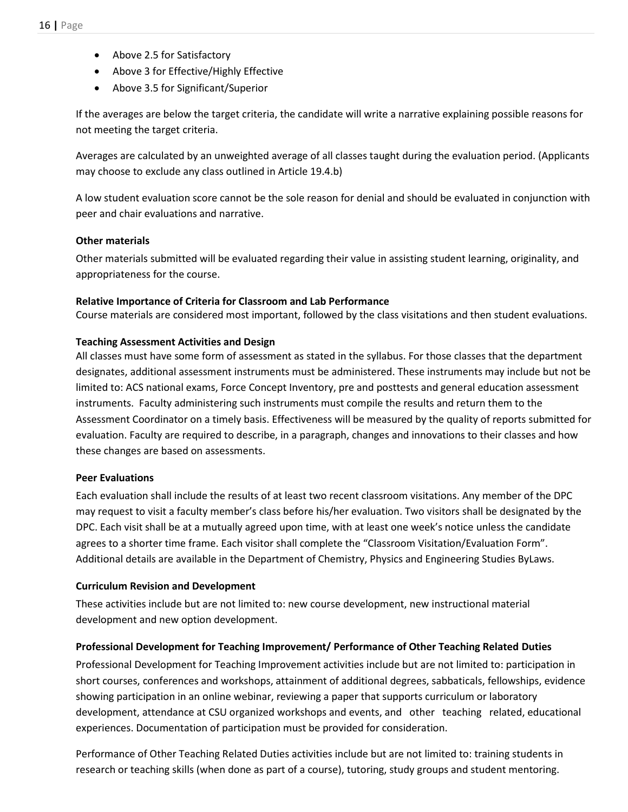- Above 2.5 for Satisfactory
- Above 3 for Effective/Highly Effective
- Above 3.5 for Significant/Superior

If the averages are below the target criteria, the candidate will write a narrative explaining possible reasons for not meeting the target criteria.

Averages are calculated by an unweighted average of all classes taught during the evaluation period. (Applicants may choose to exclude any class outlined in Article 19.4.b)

A low student evaluation score cannot be the sole reason for denial and should be evaluated in conjunction with peer and chair evaluations and narrative.

### <span id="page-15-0"></span>**Other materials**

Other materials submitted will be evaluated regarding their value in assisting student learning, originality, and appropriateness for the course.

#### <span id="page-15-1"></span>**Relative Importance of Criteria for Classroom and Lab Performance**

Course materials are considered most important, followed by the class visitations and then student evaluations.

#### <span id="page-15-2"></span>**Teaching Assessment Activities and Design**

All classes must have some form of assessment as stated in the syllabus. For those classes that the department designates, additional assessment instruments must be administered. These instruments may include but not be limited to: ACS national exams, Force Concept Inventory, pre and posttests and general education assessment instruments. Faculty administering such instruments must compile the results and return them to the Assessment Coordinator on a timely basis. Effectiveness will be measured by the quality of reports submitted for evaluation. Faculty are required to describe, in a paragraph, changes and innovations to their classes and how these changes are based on assessments.

#### <span id="page-15-3"></span>**Peer Evaluations**

Each evaluation shall include the results of at least two recent classroom visitations. Any member of the DPC may request to visit a faculty member's class before his/her evaluation. Two visitors shall be designated by the DPC. Each visit shall be at a mutually agreed upon time, with at least one week's notice unless the candidate agrees to a shorter time frame. Each visitor shall complete the "Classroom Visitation/Evaluation Form". Additional details are available in the Department of Chemistry, Physics and Engineering Studies ByLaws.

#### <span id="page-15-4"></span>**Curriculum Revision and Development**

These activities include but are not limited to: new course development, new instructional material development and new option development.

### <span id="page-15-5"></span>**Professional Development for Teaching Improvement/ Performance of Other Teaching Related Duties**

Professional Development for Teaching Improvement activities include but are not limited to: participation in short courses, conferences and workshops, attainment of additional degrees, sabbaticals, fellowships, evidence showing participation in an online webinar, reviewing a paper that supports curriculum or laboratory development, attendance at CSU organized workshops and events, and other teaching related, educational experiences. Documentation of participation must be provided for consideration.

Performance of Other Teaching Related Duties activities include but are not limited to: training students in research or teaching skills (when done as part of a course), tutoring, study groups and student mentoring.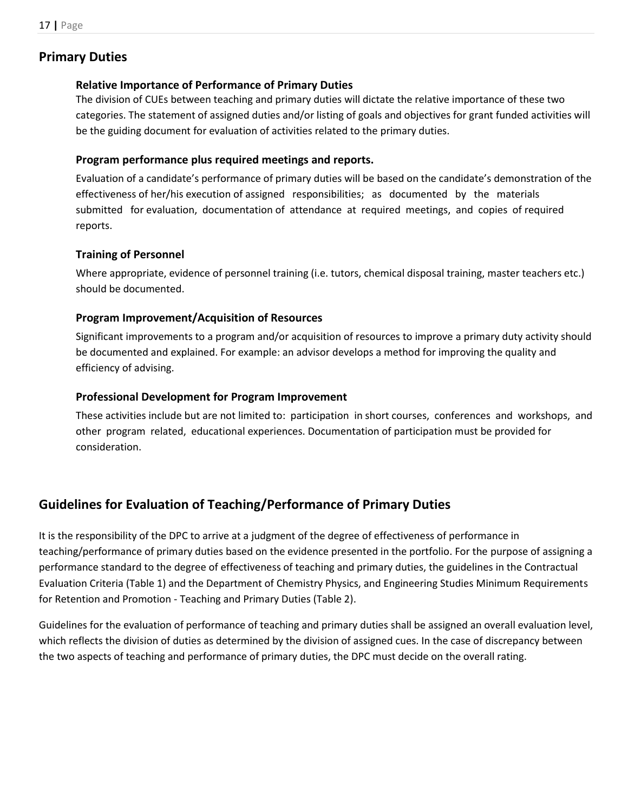# <span id="page-16-1"></span><span id="page-16-0"></span>**Primary Duties**

### **Relative Importance of Performance of Primary Duties**

The division of CUEs between teaching and primary duties will dictate the relative importance of these two categories. The statement of assigned duties and/or listing of goals and objectives for grant funded activities will be the guiding document for evaluation of activities related to the primary duties.

### <span id="page-16-2"></span>**Program performance plus required meetings and reports.**

Evaluation of a candidate's performance of primary duties will be based on the candidate's demonstration of the effectiveness of her/his execution of assigned responsibilities; as documented by the materials submitted for evaluation, documentation of attendance at required meetings, and copies of required reports.

### <span id="page-16-3"></span>**Training of Personnel**

Where appropriate, evidence of personnel training (i.e. tutors, chemical disposal training, master teachers etc.) should be documented.

### <span id="page-16-4"></span>**Program Improvement/Acquisition of Resources**

Significant improvements to a program and/or acquisition of resources to improve a primary duty activity should be documented and explained. For example: an advisor develops a method for improving the quality and efficiency of advising.

### <span id="page-16-5"></span>**Professional Development for Program Improvement**

These activities include but are not limited to: participation in short courses, conferences and workshops, and other program related, educational experiences. Documentation of participation must be provided for consideration.

# <span id="page-16-6"></span>**Guidelines for Evaluation of Teaching/Performance of Primary Duties**

It is the responsibility of the DPC to arrive at a judgment of the degree of effectiveness of performance in teaching/performance of primary duties based on the evidence presented in the portfolio. For the purpose of assigning a performance standard to the degree of effectiveness of teaching and primary duties, the guidelines in the Contractual Evaluation Criteria (Table 1) and the Department of Chemistry Physics, and Engineering Studies Minimum Requirements for Retention and Promotion - Teaching and Primary Duties (Table 2).

Guidelines for the evaluation of performance of teaching and primary duties shall be assigned an overall evaluation level, which reflects the division of duties as determined by the division of assigned cues. In the case of discrepancy between the two aspects of teaching and performance of primary duties, the DPC must decide on the overall rating.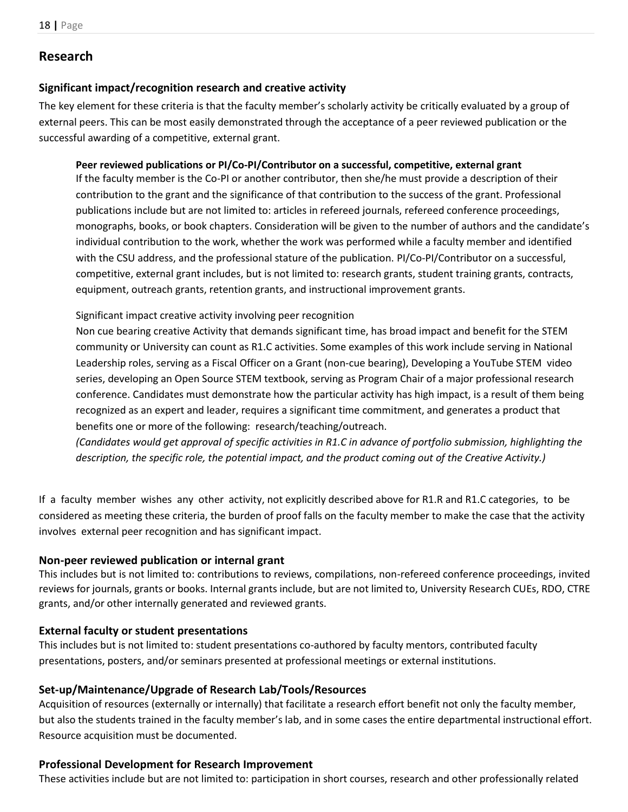# <span id="page-17-0"></span>**Research**

### <span id="page-17-1"></span>**Significant impact/recognition research and creative activity**

The key element for these criteria is that the faculty member's scholarly activity be critically evaluated by a group of external peers. This can be most easily demonstrated through the acceptance of a peer reviewed publication or the successful awarding of a competitive, external grant.

### <span id="page-17-2"></span>**Peer reviewed publications or PI/Co-PI/Contributor on a successful, competitive, external grant**

If the faculty member is the Co-PI or another contributor, then she/he must provide a description of their contribution to the grant and the significance of that contribution to the success of the grant. Professional publications include but are not limited to: articles in refereed journals, refereed conference proceedings, monographs, books, or book chapters. Consideration will be given to the number of authors and the candidate's individual contribution to the work, whether the work was performed while a faculty member and identified with the CSU address, and the professional stature of the publication. PI/Co-PI/Contributor on a successful, competitive, external grant includes, but is not limited to: research grants, student training grants, contracts, equipment, outreach grants, retention grants, and instructional improvement grants.

Significant impact creative activity involving peer recognition

Non cue bearing creative Activity that demands significant time, has broad impact and benefit for the STEM community or University can count as R1.C activities. Some examples of this work include serving in National Leadership roles, serving as a Fiscal Officer on a Grant (non-cue bearing), Developing a YouTube STEM video series, developing an Open Source STEM textbook, serving as Program Chair of a major professional research conference. Candidates must demonstrate how the particular activity has high impact, is a result of them being recognized as an expert and leader, requires a significant time commitment, and generates a product that benefits one or more of the following: research/teaching/outreach.

*(Candidates would get approval of specific activities in R1.C in advance of portfolio submission, highlighting the description, the specific role, the potential impact, and the product coming out of the Creative Activity.)* 

If a faculty member wishes any other activity, not explicitly described above for R1.R and R1.C categories, to be considered as meeting these criteria, the burden of proof falls on the faculty member to make the case that the activity involves external peer recognition and has significant impact.

### <span id="page-17-3"></span>**Non-peer reviewed publication or internal grant**

This includes but is not limited to: contributions to reviews, compilations, non-refereed conference proceedings, invited reviews for journals, grants or books. Internal grants include, but are not limited to, University Research CUEs, RDO, CTRE grants, and/or other internally generated and reviewed grants.

### <span id="page-17-4"></span>**External faculty or student presentations**

This includes but is not limited to: student presentations co-authored by faculty mentors, contributed faculty presentations, posters, and/or seminars presented at professional meetings or external institutions.

### <span id="page-17-5"></span>**Set-up/Maintenance/Upgrade of Research Lab/Tools/Resources**

Acquisition of resources (externally or internally) that facilitate a research effort benefit not only the faculty member, but also the students trained in the faculty member's lab, and in some cases the entire departmental instructional effort. Resource acquisition must be documented.

### <span id="page-17-6"></span>**Professional Development for Research Improvement**

These activities include but are not limited to: participation in short courses, research and other professionally related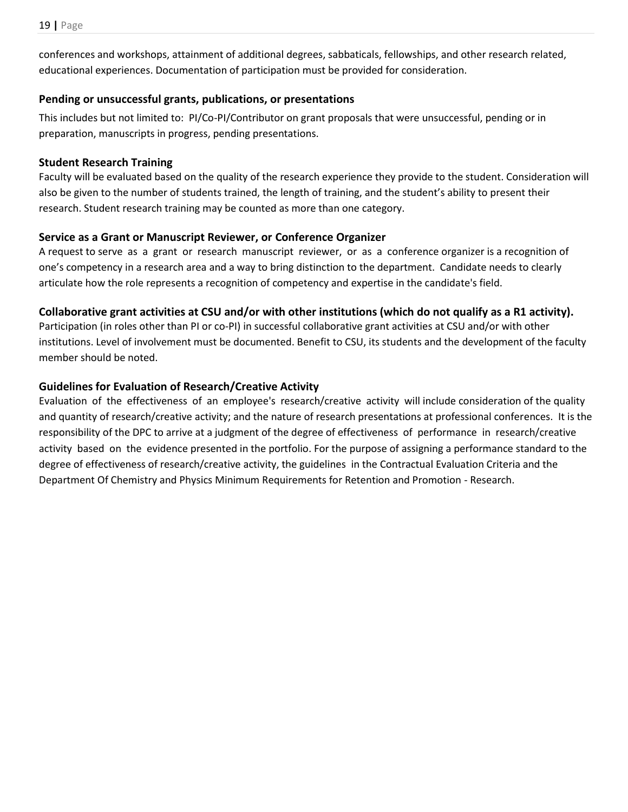conferences and workshops, attainment of additional degrees, sabbaticals, fellowships, and other research related, educational experiences. Documentation of participation must be provided for consideration.

# <span id="page-18-0"></span>**Pending or unsuccessful grants, publications, or presentations**

This includes but not limited to: PI/Co-PI/Contributor on grant proposals that were unsuccessful, pending or in preparation, manuscripts in progress, pending presentations.

# <span id="page-18-1"></span>**Student Research Training**

Faculty will be evaluated based on the quality of the research experience they provide to the student. Consideration will also be given to the number of students trained, the length of training, and the student's ability to present their research. Student research training may be counted as more than one category.

# <span id="page-18-2"></span>**Service as a Grant or Manuscript Reviewer, or Conference Organizer**

A request to serve as a grant or research manuscript reviewer, or as a conference organizer is a recognition of one's competency in a research area and a way to bring distinction to the department. Candidate needs to clearly articulate how the role represents a recognition of competency and expertise in the candidate's field.

# <span id="page-18-3"></span>**Collaborative grant activities at CSU and/or with other institutions (which do not qualify as a R1 activity).**

Participation (in roles other than PI or co-PI) in successful collaborative grant activities at CSU and/or with other institutions. Level of involvement must be documented. Benefit to CSU, its students and the development of the faculty member should be noted.

# <span id="page-18-4"></span>**Guidelines for Evaluation of Research/Creative Activity**

Evaluation of the effectiveness of an employee's research/creative activity will include consideration of the quality and quantity of research/creative activity; and the nature of research presentations at professional conferences. It is the responsibility of the DPC to arrive at a judgment of the degree of effectiveness of performance in research/creative activity based on the evidence presented in the portfolio. For the purpose of assigning a performance standard to the degree of effectiveness of research/creative activity, the guidelines in the Contractual Evaluation Criteria and the Department Of Chemistry and Physics Minimum Requirements for Retention and Promotion - Research.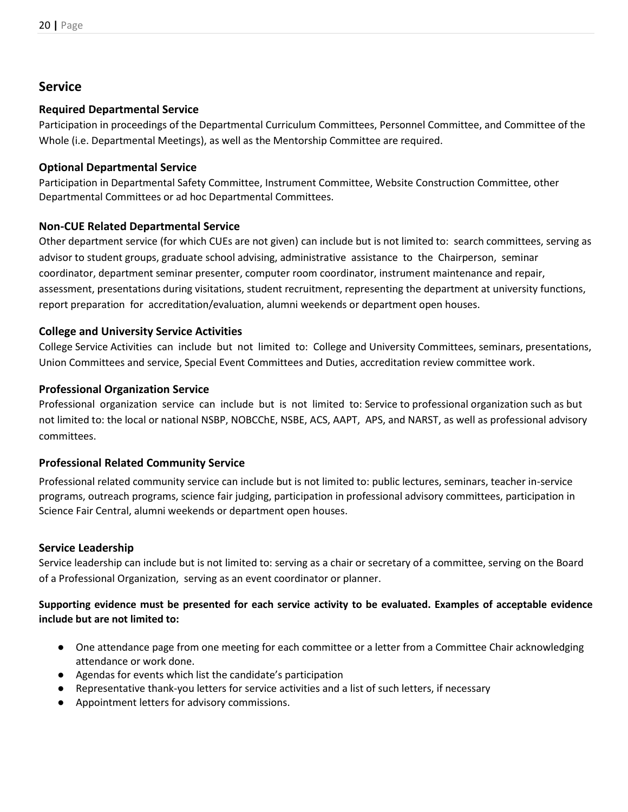# <span id="page-19-0"></span>**Service**

# <span id="page-19-1"></span>**Required Departmental Service**

Participation in proceedings of the Departmental Curriculum Committees, Personnel Committee, and Committee of the Whole (i.e. Departmental Meetings), as well as the Mentorship Committee are required.

# <span id="page-19-2"></span>**Optional Departmental Service**

Participation in Departmental Safety Committee, Instrument Committee, Website Construction Committee, other Departmental Committees or ad hoc Departmental Committees.

# <span id="page-19-3"></span>**Non-CUE Related Departmental Service**

Other department service (for which CUEs are not given) can include but is not limited to: search committees, serving as advisor to student groups, graduate school advising, administrative assistance to the Chairperson, seminar coordinator, department seminar presenter, computer room coordinator, instrument maintenance and repair, assessment, presentations during visitations, student recruitment, representing the department at university functions, report preparation for accreditation/evaluation, alumni weekends or department open houses.

# <span id="page-19-4"></span>**College and University Service Activities**

College Service Activities can include but not limited to: College and University Committees, seminars, presentations, Union Committees and service, Special Event Committees and Duties, accreditation review committee work.

### <span id="page-19-5"></span>**Professional Organization Service**

Professional organization service can include but is not limited to: Service to professional organization such as but not limited to: the local or national NSBP, NOBCChE, NSBE, ACS, AAPT, APS, and NARST, as well as professional advisory committees.

# <span id="page-19-6"></span>**Professional Related Community Service**

Professional related community service can include but is not limited to: public lectures, seminars, teacher in-service programs, outreach programs, science fair judging, participation in professional advisory committees, participation in Science Fair Central, alumni weekends or department open houses.

# <span id="page-19-7"></span>**Service Leadership**

Service leadership can include but is not limited to: serving as a chair or secretary of a committee, serving on the Board of a Professional Organization, serving as an event coordinator or planner.

# **Supporting evidence must be presented for each service activity to be evaluated. Examples of acceptable evidence include but are not limited to:**

- One attendance page from one meeting for each committee or a letter from a Committee Chair acknowledging attendance or work done.
- Agendas for events which list the candidate's participation
- Representative thank-you letters for service activities and a list of such letters, if necessary
- Appointment letters for advisory commissions.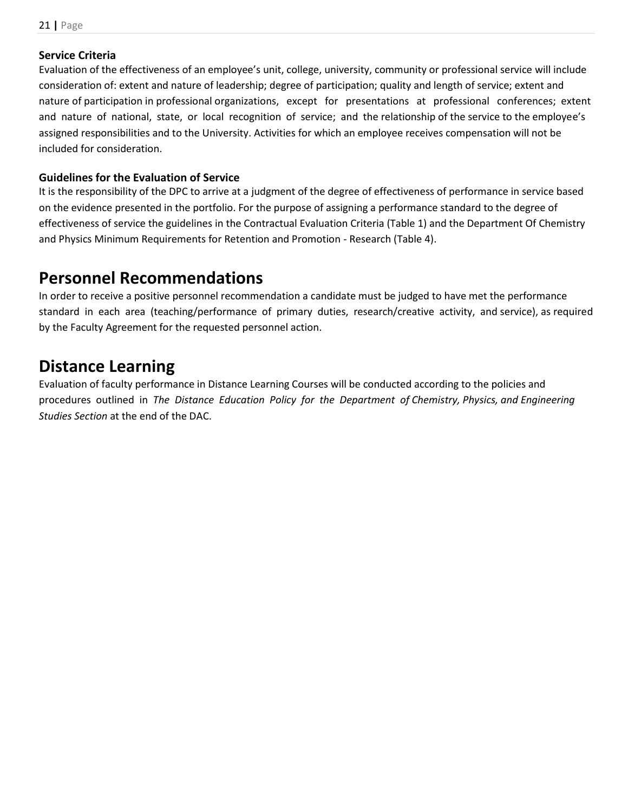### <span id="page-20-0"></span>**Service Criteria**

Evaluation of the effectiveness of an employee's unit, college, university, community or professional service will include consideration of: extent and nature of leadership; degree of participation; quality and length of service; extent and nature of participation in professional organizations, except for presentations at professional conferences; extent and nature of national, state, or local recognition of service; and the relationship of the service to the employee's assigned responsibilities and to the University. Activities for which an employee receives compensation will not be included for consideration.

# <span id="page-20-1"></span>**Guidelines for the Evaluation of Service**

It is the responsibility of the DPC to arrive at a judgment of the degree of effectiveness of performance in service based on the evidence presented in the portfolio. For the purpose of assigning a performance standard to the degree of effectiveness of service the guidelines in the Contractual Evaluation Criteria (Table 1) and the Department Of Chemistry and Physics Minimum Requirements for Retention and Promotion - Research (Table 4).

# <span id="page-20-2"></span>**Personnel Recommendations**

In order to receive a positive personnel recommendation a candidate must be judged to have met the performance standard in each area (teaching/performance of primary duties, research/creative activity, and service), as required by the Faculty Agreement for the requested personnel action.

# <span id="page-20-3"></span>**Distance Learning**

Evaluation of faculty performance in Distance Learning Courses will be conducted according to the policies and procedures outlined in *The Distance Education Policy for the Department of Chemistry, Physics, and Engineering Studies Section* at the end of the DAC.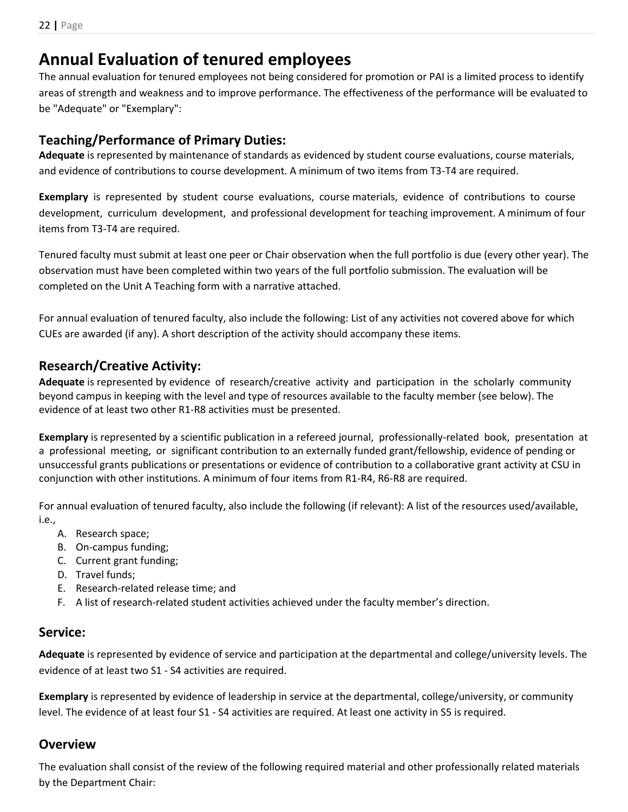# <span id="page-21-0"></span>**Annual Evaluation of tenured employees**

The annual evaluation for tenured employees not being considered for promotion or PAI is a limited process to identify areas of strength and weakness and to improve performance. The effectiveness of the performance will be evaluated to be "Adequate" or "Exemplary":

# <span id="page-21-1"></span>**Teaching/Performance of Primary Duties:**

**Adequate** is represented by maintenance of standards as evidenced by student course evaluations, course materials, and evidence of contributions to course development. A minimum of two items from T3-T4 are required.

**Exemplary** is represented by student course evaluations, course materials, evidence of contributions to course development, curriculum development, and professional development for teaching improvement. A minimum of four items from T3-T4 are required.

Tenured faculty must submit at least one peer or Chair observation when the full portfolio is due (every other year). The observation must have been completed within two years of the full portfolio submission. The evaluation will be completed on the Unit A Teaching form with a narrative attached.

For annual evaluation of tenured faculty, also include the following: List of any activities not covered above for which CUEs are awarded (if any). A short description of the activity should accompany these items.

# <span id="page-21-2"></span>**Research/Creative Activity:**

**Adequate** is represented by evidence of research/creative activity and participation in the scholarly community beyond campus in keeping with the level and type of resources available to the faculty member (see below). The evidence of at least two other R1-R8 activities must be presented.

**Exemplary** is represented by a scientific publication in a refereed journal, professionally-related book, presentation at a professional meeting, or significant contribution to an externally funded grant/fellowship, evidence of pending or unsuccessful grants publications or presentations or evidence of contribution to a collaborative grant activity at CSU in conjunction with other institutions. A minimum of four items from R1-R4, R6-R8 are required.

For annual evaluation of tenured faculty, also include the following (if relevant): A list of the resources used/available, i.e.,

- A. Research space;
- B. On-campus funding;
- C. Current grant funding;
- D. Travel funds;
- E. Research-related release time; and
- F. A list of research-related student activities achieved under the faculty member's direction.

# <span id="page-21-3"></span>**Service:**

**Adequate** is represented by evidence of service and participation at the departmental and college/university levels. The evidence of at least two S1 - S4 activities are required.

**Exemplary** is represented by evidence of leadership in service at the departmental, college/university, or community level. The evidence of at least four S1 - S4 activities are required. At least one activity in S5 is required.

# <span id="page-21-4"></span>**Overview**

The evaluation shall consist of the review of the following required material and other professionally related materials by the Department Chair: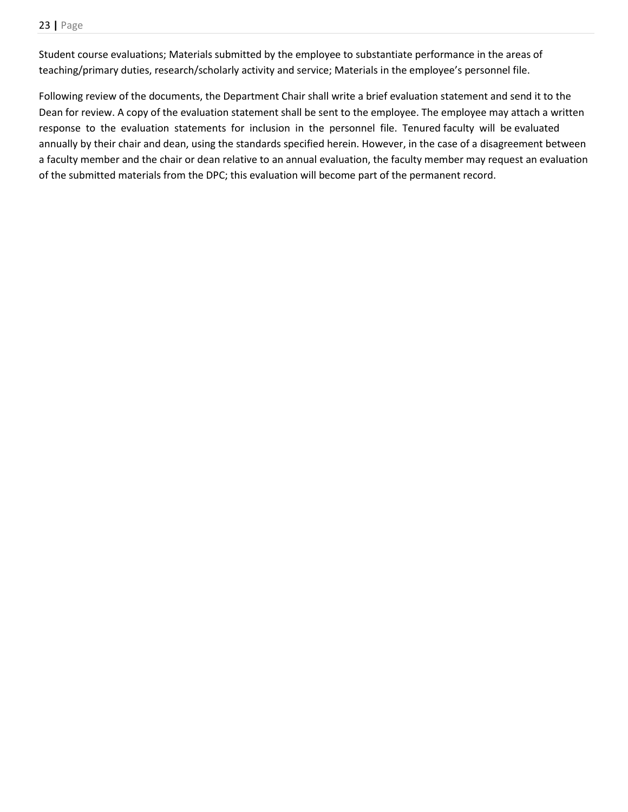Student course evaluations; Materials submitted by the employee to substantiate performance in the areas of teaching/primary duties, research/scholarly activity and service; Materials in the employee's personnel file.

Following review of the documents, the Department Chair shall write a brief evaluation statement and send it to the Dean for review. A copy of the evaluation statement shall be sent to the employee. The employee may attach a written response to the evaluation statements for inclusion in the personnel file. Tenured faculty will be evaluated annually by their chair and dean, using the standards specified herein. However, in the case of a disagreement between a faculty member and the chair or dean relative to an annual evaluation, the faculty member may request an evaluation of the submitted materials from the DPC; this evaluation will become part of the permanent record.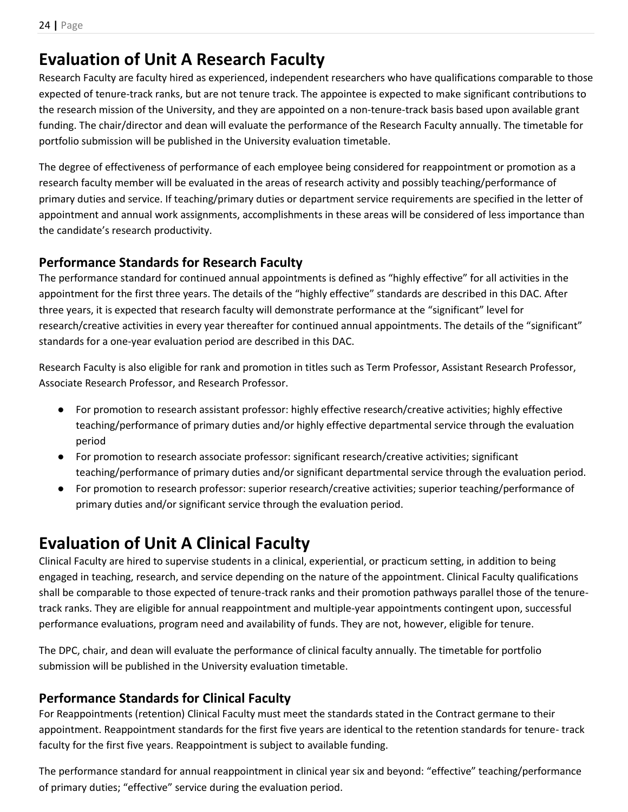# <span id="page-23-0"></span>**Evaluation of Unit A Research Faculty**

Research Faculty are faculty hired as experienced, independent researchers who have qualifications comparable to those expected of tenure-track ranks, but are not tenure track. The appointee is expected to make significant contributions to the research mission of the University, and they are appointed on a non-tenure-track basis based upon available grant funding. The chair/director and dean will evaluate the performance of the Research Faculty annually. The timetable for portfolio submission will be published in the University evaluation timetable.

The degree of effectiveness of performance of each employee being considered for reappointment or promotion as a research faculty member will be evaluated in the areas of research activity and possibly teaching/performance of primary duties and service. If teaching/primary duties or department service requirements are specified in the letter of appointment and annual work assignments, accomplishments in these areas will be considered of less importance than the candidate's research productivity.

# <span id="page-23-1"></span>**Performance Standards for Research Faculty**

The performance standard for continued annual appointments is defined as "highly effective" for all activities in the appointment for the first three years. The details of the "highly effective" standards are described in this DAC. After three years, it is expected that research faculty will demonstrate performance at the "significant" level for research/creative activities in every year thereafter for continued annual appointments. The details of the "significant" standards for a one-year evaluation period are described in this DAC.

Research Faculty is also eligible for rank and promotion in titles such as Term Professor, Assistant Research Professor, Associate Research Professor, and Research Professor.

- For promotion to research assistant professor: highly effective research/creative activities; highly effective teaching/performance of primary duties and/or highly effective departmental service through the evaluation period
- For promotion to research associate professor: significant research/creative activities; significant teaching/performance of primary duties and/or significant departmental service through the evaluation period.
- For promotion to research professor: superior research/creative activities; superior teaching/performance of primary duties and/or significant service through the evaluation period.

# <span id="page-23-2"></span>**Evaluation of Unit A Clinical Faculty**

Clinical Faculty are hired to supervise students in a clinical, experiential, or practicum setting, in addition to being engaged in teaching, research, and service depending on the nature of the appointment. Clinical Faculty qualifications shall be comparable to those expected of tenure-track ranks and their promotion pathways parallel those of the tenuretrack ranks. They are eligible for annual reappointment and multiple-year appointments contingent upon, successful performance evaluations, program need and availability of funds. They are not, however, eligible for tenure.

The DPC, chair, and dean will evaluate the performance of clinical faculty annually. The timetable for portfolio submission will be published in the University evaluation timetable.

# <span id="page-23-3"></span>**Performance Standards for Clinical Faculty**

For Reappointments (retention) Clinical Faculty must meet the standards stated in the Contract germane to their appointment. Reappointment standards for the first five years are identical to the retention standards for tenure- track faculty for the first five years. Reappointment is subject to available funding.

The performance standard for annual reappointment in clinical year six and beyond: "effective" teaching/performance of primary duties; "effective" service during the evaluation period.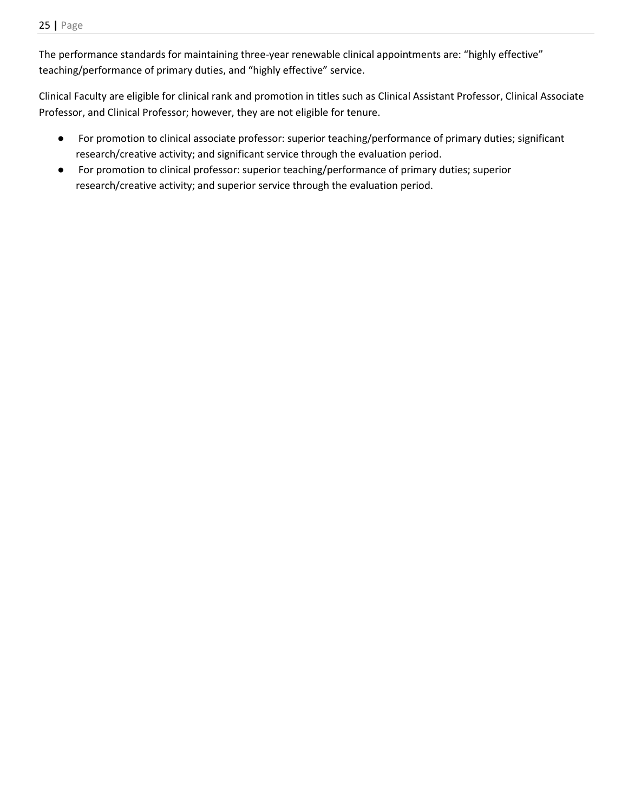The performance standards for maintaining three-year renewable clinical appointments are: "highly effective" teaching/performance of primary duties, and "highly effective" service.

Clinical Faculty are eligible for clinical rank and promotion in titles such as Clinical Assistant Professor, Clinical Associate Professor, and Clinical Professor; however, they are not eligible for tenure.

- For promotion to clinical associate professor: superior teaching/performance of primary duties; significant research/creative activity; and significant service through the evaluation period.
- For promotion to clinical professor: superior teaching/performance of primary duties; superior research/creative activity; and superior service through the evaluation period.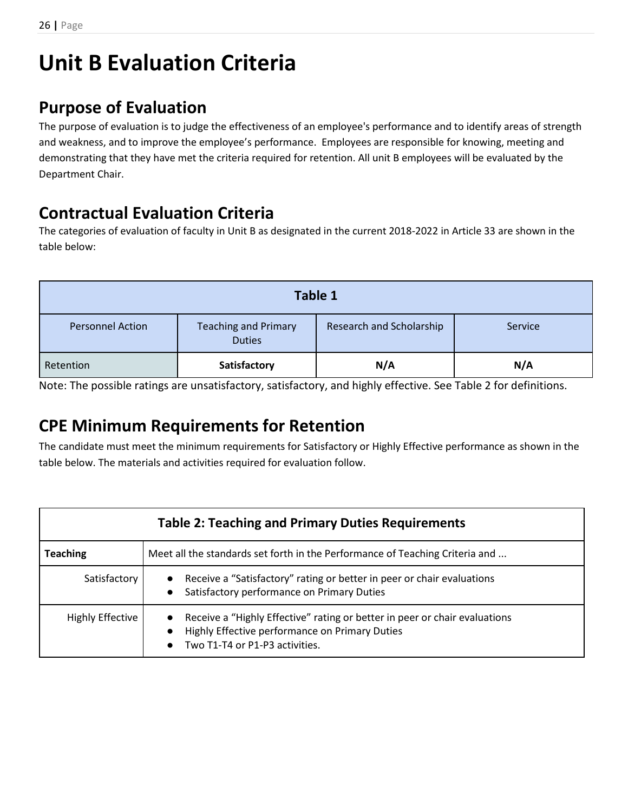# <span id="page-25-0"></span>**Unit B Evaluation Criteria**

# <span id="page-25-1"></span>**Purpose of Evaluation**

The purpose of evaluation is to judge the effectiveness of an employee's performance and to identify areas of strength and weakness, and to improve the employee's performance. Employees are responsible for knowing, meeting and demonstrating that they have met the criteria required for retention. All unit B employees will be evaluated by the Department Chair.

# <span id="page-25-2"></span>**Contractual Evaluation Criteria**

The categories of evaluation of faculty in Unit B as designated in the current 2018-2022 in Article 33 are shown in the table below:

| Table 1                 |                                              |                          |         |  |  |
|-------------------------|----------------------------------------------|--------------------------|---------|--|--|
| <b>Personnel Action</b> | <b>Teaching and Primary</b><br><b>Duties</b> | Research and Scholarship | Service |  |  |
| Retention               | Satisfactory                                 | N/A                      | N/A     |  |  |

<span id="page-25-3"></span>Note: The possible ratings are unsatisfactory, satisfactory, and highly effective. See Table 2 for definitions.

# **CPE Minimum Requirements for Retention**

The candidate must meet the minimum requirements for Satisfactory or Highly Effective performance as shown in the table below. The materials and activities required for evaluation follow.

| <b>Table 2: Teaching and Primary Duties Requirements</b>                                        |                                                                                                                                                                |  |  |  |  |
|-------------------------------------------------------------------------------------------------|----------------------------------------------------------------------------------------------------------------------------------------------------------------|--|--|--|--|
| Meet all the standards set forth in the Performance of Teaching Criteria and<br><b>Teaching</b> |                                                                                                                                                                |  |  |  |  |
| Satisfactory                                                                                    | Receive a "Satisfactory" rating or better in peer or chair evaluations<br>Satisfactory performance on Primary Duties                                           |  |  |  |  |
| Highly Effective                                                                                | Receive a "Highly Effective" rating or better in peer or chair evaluations<br>Highly Effective performance on Primary Duties<br>Two T1-T4 or P1-P3 activities. |  |  |  |  |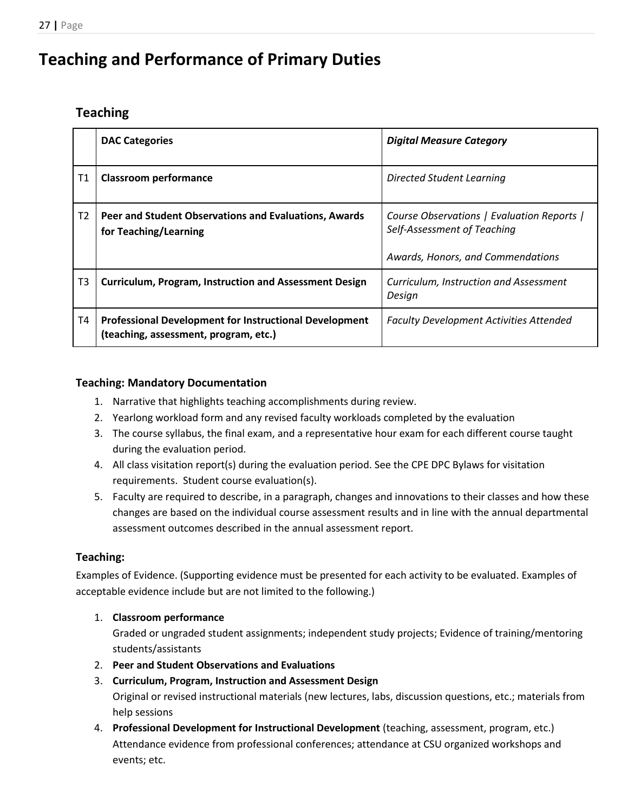# <span id="page-26-0"></span>**Teaching and Performance of Primary Duties**

# <span id="page-26-1"></span>**Teaching**

|                | <b>DAC Categories</b>                                                                                  | <b>Digital Measure Category</b>                                                                                |
|----------------|--------------------------------------------------------------------------------------------------------|----------------------------------------------------------------------------------------------------------------|
| Τ1             | <b>Classroom performance</b>                                                                           | Directed Student Learning                                                                                      |
| T2             | Peer and Student Observations and Evaluations, Awards<br>for Teaching/Learning                         | Course Observations   Evaluation Reports  <br>Self-Assessment of Teaching<br>Awards, Honors, and Commendations |
| T <sub>3</sub> | <b>Curriculum, Program, Instruction and Assessment Design</b>                                          | Curriculum, Instruction and Assessment<br>Design                                                               |
| T4             | <b>Professional Development for Instructional Development</b><br>(teaching, assessment, program, etc.) | <b>Faculty Development Activities Attended</b>                                                                 |

# <span id="page-26-2"></span>**Teaching: Mandatory Documentation**

- 1. Narrative that highlights teaching accomplishments during review.
- 2. Yearlong workload form and any revised faculty workloads completed by the evaluation
- 3. The course syllabus, the final exam, and a representative hour exam for each different course taught during the evaluation period.
- 4. All class visitation report(s) during the evaluation period. See the CPE DPC Bylaws for visitation requirements. Student course evaluation(s).
- 5. Faculty are required to describe, in a paragraph, changes and innovations to their classes and how these changes are based on the individual course assessment results and in line with the annual departmental assessment outcomes described in the annual assessment report.

# <span id="page-26-3"></span>**Teaching:**

Examples of Evidence. (Supporting evidence must be presented for each activity to be evaluated. Examples of acceptable evidence include but are not limited to the following.)

1. **Classroom performance**

Graded or ungraded student assignments; independent study projects; Evidence of training/mentoring students/assistants

- 2. **Peer and Student Observations and Evaluations**
- 3. **Curriculum, Program, Instruction and Assessment Design**

Original or revised instructional materials (new lectures, labs, discussion questions, etc.; materials from help sessions

4. **Professional Development for Instructional Development** (teaching, assessment, program, etc.) Attendance evidence from professional conferences; attendance at CSU organized workshops and events; etc.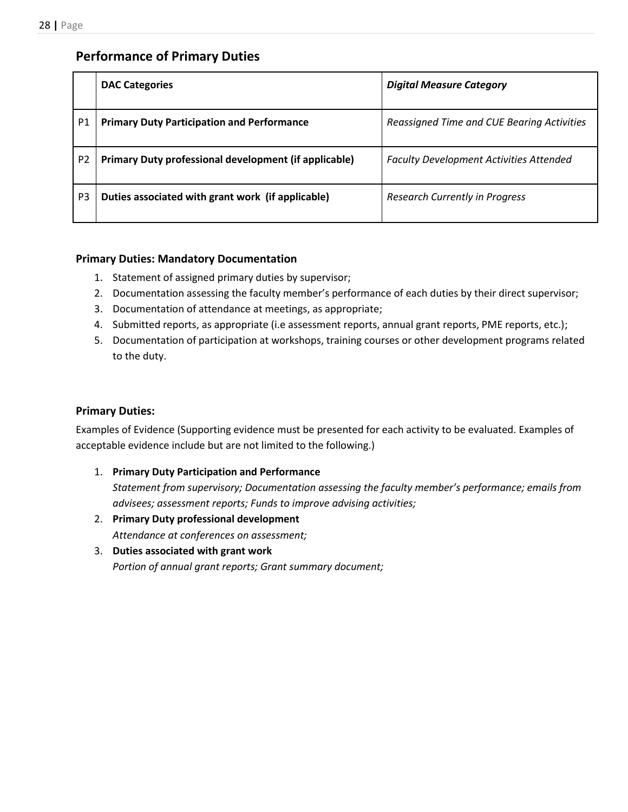# <span id="page-27-0"></span>**Performance of Primary Duties**

|                | <b>DAC Categories</b>                                 | <b>Digital Measure Category</b>                |
|----------------|-------------------------------------------------------|------------------------------------------------|
| P <sub>1</sub> | <b>Primary Duty Participation and Performance</b>     | Reassigned Time and CUE Bearing Activities     |
| P <sub>2</sub> | Primary Duty professional development (if applicable) | <b>Faculty Development Activities Attended</b> |
| P <sub>3</sub> | Duties associated with grant work (if applicable)     | <b>Research Currently in Progress</b>          |

### <span id="page-27-1"></span>**Primary Duties: Mandatory Documentation**

- 1. Statement of assigned primary duties by supervisor;
- 2. Documentation assessing the faculty member's performance of each duties by their direct supervisor;
- 3. Documentation of attendance at meetings, as appropriate;
- 4. Submitted reports, as appropriate (i.e assessment reports, annual grant reports, PME reports, etc.);
- 5. Documentation of participation at workshops, training courses or other development programs related to the duty.

### <span id="page-27-2"></span>**Primary Duties:**

Examples of Evidence (Supporting evidence must be presented for each activity to be evaluated. Examples of acceptable evidence include but are not limited to the following.)

1. **Primary Duty Participation and Performance**

*Statement from supervisory; Documentation assessing the faculty member's performance; emails from advisees; assessment reports; Funds to improve advising activities;* 

- 2. **Primary Duty professional development** *Attendance at conferences on assessment;*
- 3. **Duties associated with grant work** *Portion of annual grant reports; Grant summary document;*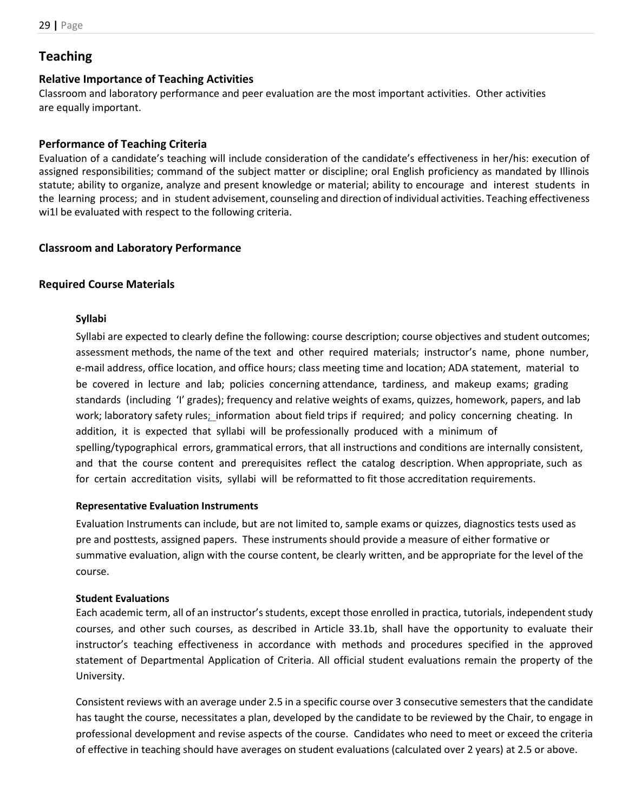# <span id="page-28-0"></span>**Teaching**

#### <span id="page-28-1"></span>**Relative Importance of Teaching Activities**

Classroom and laboratory performance and peer evaluation are the most important activities. Other activities are equally important.

#### <span id="page-28-2"></span>**Performance of Teaching Criteria**

Evaluation of a candidate's teaching will include consideration of the candidate's effectiveness in her/his: execution of assigned responsibilities; command of the subject matter or discipline; oral English proficiency as mandated by Illinois statute; ability to organize, analyze and present knowledge or material; ability to encourage and interest students in the learning process; and in student advisement, counseling and direction of individual activities. Teaching effectiveness wi1l be evaluated with respect to the following criteria.

#### <span id="page-28-3"></span>**Classroom and Laboratory Performance**

#### <span id="page-28-5"></span><span id="page-28-4"></span>**Required Course Materials**

#### **Syllabi**

Syllabi are expected to clearly define the following: course description; course objectives and student outcomes; assessment methods, the name of the text and other required materials; instructor's name, phone number, e-mail address, office location, and office hours; class meeting time and location; ADA statement, material to be covered in lecture and lab; policies concerning attendance, tardiness, and makeup exams; grading standards (including 'I' grades); frequency and relative weights of exams, quizzes, homework, papers, and lab work; laboratory safety rule[s; i](http://www.csu.edu/course-eval%3B)nformation about field trips if required; and policy concerning cheating. In addition, it is expected that syllabi will be professionally produced with a minimum of spelling/typographical errors, grammatical errors, that all instructions and conditions are internally consistent, and that the course content and prerequisites reflect the catalog description. When appropriate, such as for certain accreditation visits, syllabi will be reformatted to fit those accreditation requirements.

#### <span id="page-28-6"></span>**Representative Evaluation Instruments**

Evaluation Instruments can include, but are not limited to, sample exams or quizzes, diagnostics tests used as pre and posttests, assigned papers. These instruments should provide a measure of either formative or summative evaluation, align with the course content, be clearly written, and be appropriate for the level of the course.

#### <span id="page-28-7"></span>**Student Evaluations**

Each academic term, all of an instructor's students, except those enrolled in practica, tutorials, independent study courses, and other such courses, as described in Article 33.1b, shall have the opportunity to evaluate their instructor's teaching effectiveness in accordance with methods and procedures specified in the approved statement of Departmental Application of Criteria. All official student evaluations remain the property of the University.

Consistent reviews with an average under 2.5 in a specific course over 3 consecutive semesters that the candidate has taught the course, necessitates a plan, developed by the candidate to be reviewed by the Chair, to engage in professional development and revise aspects of the course. Candidates who need to meet or exceed the criteria of effective in teaching should have averages on student evaluations (calculated over 2 years) at 2.5 or above.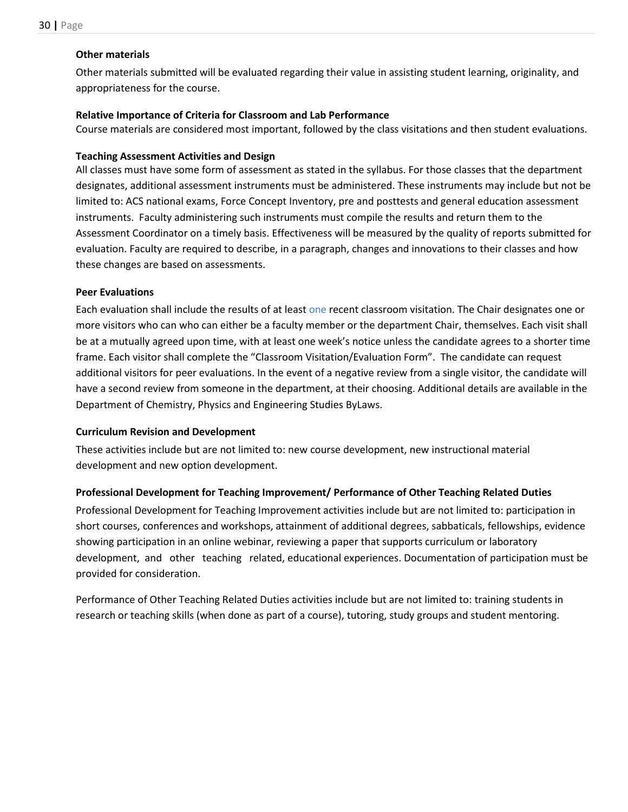#### <span id="page-29-0"></span>**Other materials**

Other materials submitted will be evaluated regarding their value in assisting student learning, originality, and appropriateness for the course.

### <span id="page-29-1"></span>**Relative Importance of Criteria for Classroom and Lab Performance**

Course materials are considered most important, followed by the class visitations and then student evaluations.

### <span id="page-29-2"></span>**Teaching Assessment Activities and Design**

All classes must have some form of assessment as stated in the syllabus. For those classes that the department designates, additional assessment instruments must be administered. These instruments may include but not be limited to: ACS national exams, Force Concept Inventory, pre and posttests and general education assessment instruments. Faculty administering such instruments must compile the results and return them to the Assessment Coordinator on a timely basis. Effectiveness will be measured by the quality of reports submitted for evaluation. Faculty are required to describe, in a paragraph, changes and innovations to their classes and how these changes are based on assessments.

### <span id="page-29-3"></span>**Peer Evaluations**

Each evaluation shall include the results of at least one recent classroom visitation. The Chair designates one or more visitors who can who can either be a faculty member or the department Chair, themselves. Each visit shall be at a mutually agreed upon time, with at least one week's notice unless the candidate agrees to a shorter time frame. Each visitor shall complete the "Classroom Visitation/Evaluation Form". The candidate can request additional visitors for peer evaluations. In the event of a negative review from a single visitor, the candidate will have a second review from someone in the department, at their choosing. Additional details are available in the Department of Chemistry, Physics and Engineering Studies ByLaws.

### <span id="page-29-4"></span>**Curriculum Revision and Development**

These activities include but are not limited to: new course development, new instructional material development and new option development.

### <span id="page-29-5"></span>**Professional Development for Teaching Improvement/ Performance of Other Teaching Related Duties**

Professional Development for Teaching Improvement activities include but are not limited to: participation in short courses, conferences and workshops, attainment of additional degrees, sabbaticals, fellowships, evidence showing participation in an online webinar, reviewing a paper that supports curriculum or laboratory development, and other teaching related, educational experiences. Documentation of participation must be provided for consideration.

Performance of Other Teaching Related Duties activities include but are not limited to: training students in research or teaching skills (when done as part of a course), tutoring, study groups and student mentoring.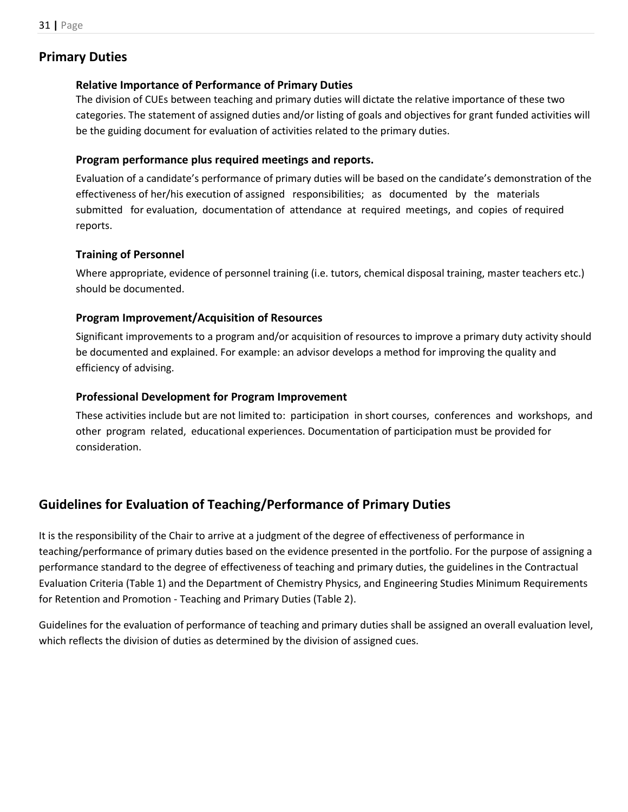# <span id="page-30-1"></span><span id="page-30-0"></span>**Primary Duties**

### **Relative Importance of Performance of Primary Duties**

The division of CUEs between teaching and primary duties will dictate the relative importance of these two categories. The statement of assigned duties and/or listing of goals and objectives for grant funded activities will be the guiding document for evaluation of activities related to the primary duties.

# <span id="page-30-2"></span>**Program performance plus required meetings and reports.**

Evaluation of a candidate's performance of primary duties will be based on the candidate's demonstration of the effectiveness of her/his execution of assigned responsibilities; as documented by the materials submitted for evaluation, documentation of attendance at required meetings, and copies of required reports.

# <span id="page-30-3"></span>**Training of Personnel**

Where appropriate, evidence of personnel training (i.e. tutors, chemical disposal training, master teachers etc.) should be documented.

# <span id="page-30-4"></span>**Program Improvement/Acquisition of Resources**

Significant improvements to a program and/or acquisition of resources to improve a primary duty activity should be documented and explained. For example: an advisor develops a method for improving the quality and efficiency of advising.

# <span id="page-30-5"></span>**Professional Development for Program Improvement**

These activities include but are not limited to: participation in short courses, conferences and workshops, and other program related, educational experiences. Documentation of participation must be provided for consideration.

# <span id="page-30-6"></span>**Guidelines for Evaluation of Teaching/Performance of Primary Duties**

It is the responsibility of the Chair to arrive at a judgment of the degree of effectiveness of performance in teaching/performance of primary duties based on the evidence presented in the portfolio. For the purpose of assigning a performance standard to the degree of effectiveness of teaching and primary duties, the guidelines in the Contractual Evaluation Criteria (Table 1) and the Department of Chemistry Physics, and Engineering Studies Minimum Requirements for Retention and Promotion - Teaching and Primary Duties (Table 2).

Guidelines for the evaluation of performance of teaching and primary duties shall be assigned an overall evaluation level, which reflects the division of duties as determined by the division of assigned cues.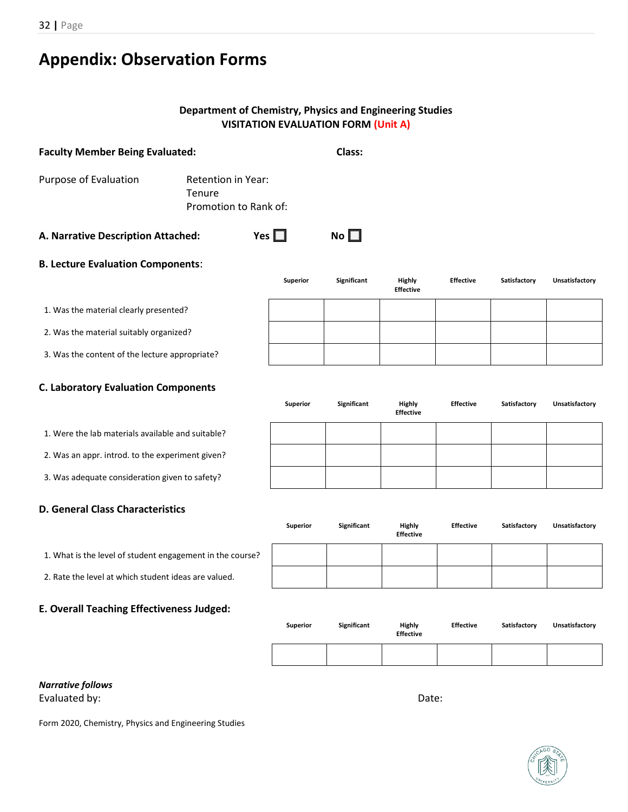32 **|** Page

# <span id="page-31-0"></span>**Appendix: Observation Forms**

# **Department of Chemistry, Physics and Engineering Studies VISITATION EVALUATION FORM (Unit A)**

| <b>Faculty Member Being Evaluated:</b>         |                                                       |                 | Class:             |                                   |                  |              |                |
|------------------------------------------------|-------------------------------------------------------|-----------------|--------------------|-----------------------------------|------------------|--------------|----------------|
| Purpose of Evaluation                          | Retention in Year:<br>Tenure<br>Promotion to Rank of: |                 |                    |                                   |                  |              |                |
| A. Narrative Description Attached:             |                                                       | Yes $\Box$      | No $\square$       |                                   |                  |              |                |
| <b>B. Lecture Evaluation Components:</b>       |                                                       |                 |                    |                                   |                  |              |                |
|                                                |                                                       | <b>Superior</b> | <b>Significant</b> | <b>Highly</b><br><b>Effective</b> | <b>Effective</b> | Satisfactory | Unsatisfactory |
| 1. Was the material clearly presented?         |                                                       |                 |                    |                                   |                  |              |                |
| 2. Was the material suitably organized?        |                                                       |                 |                    |                                   |                  |              |                |
| 3. Was the content of the lecture appropriate? |                                                       |                 |                    |                                   |                  |              |                |
| <b>C. Laboratory Evaluation Components</b>     |                                                       |                 |                    |                                   |                  |              |                |
|                                                |                                                       | <b>Superior</b> | Significant        | Highly<br><b>Effective</b>        | <b>Effective</b> | Satisfactory | Unsatisfactory |

1. Were the lab materials available and suitable?

2. Was an appr. introd. to the experiment given?

3. Was adequate consideration given to safety?

### **D. General Class Characteristics**

1. What is the level of student engagement in the course?

2. Rate the level at which student ideas are valued.

### **E. Overall Teaching Effectiveness Judged:**

| <b>Superior</b> | Significant | <b>Highly</b><br><b>Effective</b> | <b>Effective</b> | Satisfactory | Unsatisfactory |
|-----------------|-------------|-----------------------------------|------------------|--------------|----------------|
|                 |             |                                   |                  |              |                |

#### *Narrative follows* Evaluated by: Date: Date: Date: Date: Date: Date: Date: Date: Date: Date: Date: Date: Date: Date: Date: Date: Date: Date: Date: Date: Date: Date: Date: Date: Date: Date: Date: Date: Date: Date: Date: Date: Date: Date: Date

Form 2020, Chemistry, Physics and Engineering Studies



| <b>Superior</b> | Significant | Highly           | <b>Effective</b> | Satisfactory | Unsatisfactory |
|-----------------|-------------|------------------|------------------|--------------|----------------|
|                 |             | <b>Effective</b> |                  |              |                |
|                 |             |                  |                  |              |                |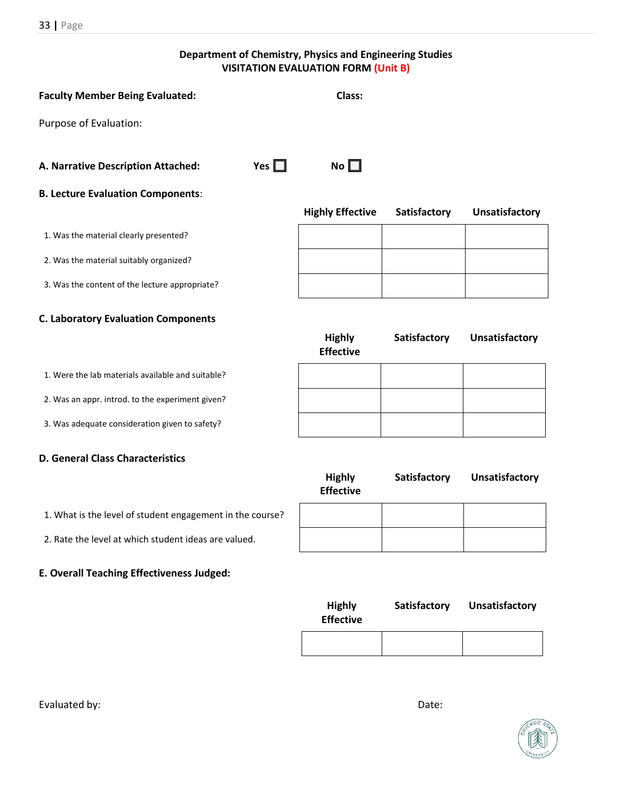**Department of Chemistry, Physics and Engineering Studies VISITATION EVALUATION FORM (Unit B)**

| <b>Faculty Member Being Evaluated:</b>         |            | Class:                  |              |                       |
|------------------------------------------------|------------|-------------------------|--------------|-----------------------|
| Purpose of Evaluation:                         |            |                         |              |                       |
| A. Narrative Description Attached:             | Yes $\Box$ | No $\square$            |              |                       |
| <b>B. Lecture Evaluation Components:</b>       |            |                         |              |                       |
|                                                |            | <b>Highly Effective</b> | Satisfactory | <b>Unsatisfactory</b> |
| 1. Was the material clearly presented?         |            |                         |              |                       |
| 2. Was the material suitably organized?        |            |                         |              |                       |
| 3. Was the content of the lecture appropriate? |            |                         |              |                       |

**Highly Effective**

**Highly** 

### **C. Laboratory Evaluation Components**

2. Was an appr. introd. to the experiment given?

3. Was adequate consideration given to safety?

### **D. General Class Characteristics**

|                                                           | <b>Effective</b> |  |
|-----------------------------------------------------------|------------------|--|
| 1. What is the level of student engagement in the course? |                  |  |
| 2. Rate the level at which student ideas are valued.      |                  |  |

### **E. Overall Teaching Effectiveness Judged:**

| <b>Highly</b><br><b>Effective</b> | Satisfactory | <b>Unsatisfactory</b> |
|-----------------------------------|--------------|-----------------------|
|                                   |              |                       |

**Satisfactory Unsatisfactory**

**Satisfactory Unsatisfactory**

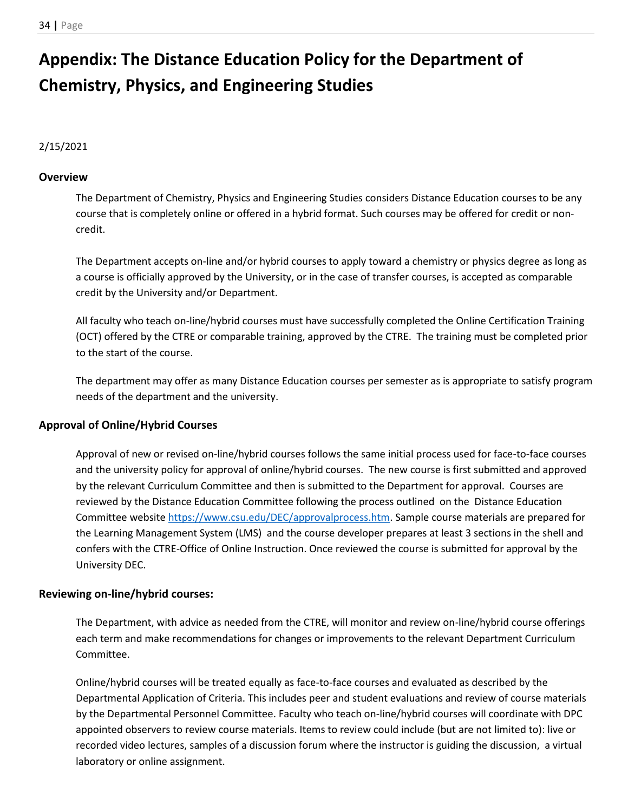# <span id="page-33-0"></span>**Appendix: The Distance Education Policy for the Department of Chemistry, Physics, and Engineering Studies**

### 2/15/2021

### <span id="page-33-1"></span>**Overview**

The Department of Chemistry, Physics and Engineering Studies considers Distance Education courses to be any course that is completely online or offered in a hybrid format. Such courses may be offered for credit or noncredit.

The Department accepts on-line and/or hybrid courses to apply toward a chemistry or physics degree as long as a course is officially approved by the University, or in the case of transfer courses, is accepted as comparable credit by the University and/or Department.

All faculty who teach on-line/hybrid courses must have successfully completed the Online Certification Training (OCT) offered by the CTRE or comparable training, approved by the CTRE. The training must be completed prior to the start of the course.

The department may offer as many Distance Education courses per semester as is appropriate to satisfy program needs of the department and the university.

### <span id="page-33-2"></span>**Approval of Online/Hybrid Courses**

Approval of new or revised on-line/hybrid courses follows the same initial process used for face-to-face courses and the university policy for approval of online/hybrid courses. The new course is first submitted and approved by the relevant Curriculum Committee and then is submitted to the Department for approval. Courses are reviewed by the Distance Education Committee following the process outlined on the Distance Education Committee websit[e](https://www.csu.edu/DEC/approvalprocess.htm) [https://www.csu.edu/DEC/approvalprocess.htm.](https://www.csu.edu/DEC/approvalprocess.htm) Sample course materials are prepared for the Learning Management System (LMS) and the course developer prepares at least 3 sections in the shell and confers with the CTRE-Office of Online Instruction. Once reviewed the course is submitted for approval by the University DEC.

### <span id="page-33-3"></span>**Reviewing on-line/hybrid courses:**

The Department, with advice as needed from the CTRE, will monitor and review on-line/hybrid course offerings each term and make recommendations for changes or improvements to the relevant Department Curriculum Committee.

Online/hybrid courses will be treated equally as face-to-face courses and evaluated as described by the Departmental Application of Criteria. This includes peer and student evaluations and review of course materials by the Departmental Personnel Committee. Faculty who teach on-line/hybrid courses will coordinate with DPC appointed observers to review course materials. Items to review could include (but are not limited to): live or recorded video lectures, samples of a discussion forum where the instructor is guiding the discussion, a virtual laboratory or online assignment.